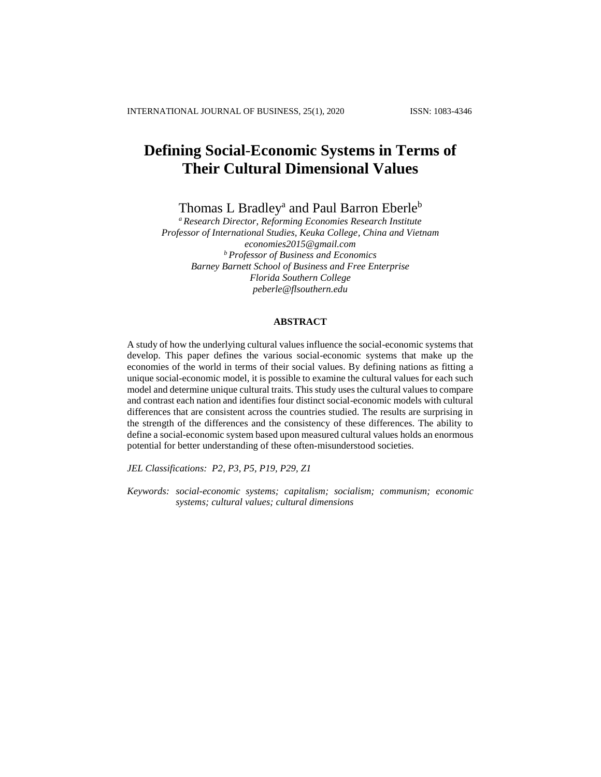# **Defining Social**-**Economic Systems in Terms of Their Cultural Dimensional Values**

Thomas L Bradley<sup>a</sup> and Paul Barron Eberle<sup>b</sup>

*<sup>a</sup> Research Director, Reforming Economies Research Institute Professor of International Studies, Keuka College, China and Vietnam [economies2015@gmail.com](mailto:economies2015@gmail.com) <sup>b</sup> Professor of Business and Economics Barney Barnett School of Business and Free Enterprise Florida Southern College [peberle@flsouthern.edu](mailto:peberle@flsouthern.edu)*

# **ABSTRACT**

A study of how the underlying cultural values influence the social-economic systems that develop. This paper defines the various social-economic systems that make up the economies of the world in terms of their social values. By defining nations as fitting a unique social-economic model, it is possible to examine the cultural values for each such model and determine unique cultural traits. This study uses the cultural values to compare and contrast each nation and identifies four distinct social-economic models with cultural differences that are consistent across the countries studied. The results are surprising in the strength of the differences and the consistency of these differences. The ability to define a social-economic system based upon measured cultural values holds an enormous potential for better understanding of these often-misunderstood societies.

*JEL Classifications: P2, P3, P5, P19, P29, Z1*

*Keywords: social-economic systems; capitalism; socialism; communism; economic systems; cultural values; cultural dimensions*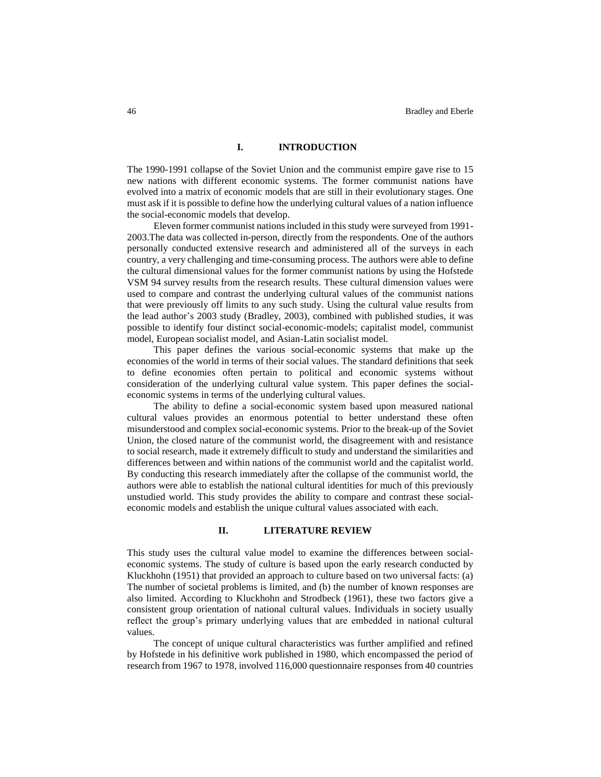# **I. INTRODUCTION**

The 1990-1991 collapse of the Soviet Union and the communist empire gave rise to 15 new nations with different economic systems. The former communist nations have evolved into a matrix of economic models that are still in their evolutionary stages. One must ask if it is possible to define how the underlying cultural values of a nation influence the social-economic models that develop.

Eleven former communist nations included in this study were surveyed from 1991- 2003.The data was collected in-person, directly from the respondents. One of the authors personally conducted extensive research and administered all of the surveys in each country, a very challenging and time-consuming process. The authors were able to define the cultural dimensional values for the former communist nations by using the Hofstede VSM 94 survey results from the research results. These cultural dimension values were used to compare and contrast the underlying cultural values of the communist nations that were previously off limits to any such study. Using the cultural value results from the lead author's 2003 study (Bradley, 2003), combined with published studies, it was possible to identify four distinct social-economic-models; capitalist model, communist model, European socialist model, and Asian-Latin socialist model.

This paper defines the various social-economic systems that make up the economies of the world in terms of their social values. The standard definitions that seek to define economies often pertain to political and economic systems without consideration of the underlying cultural value system. This paper defines the socialeconomic systems in terms of the underlying cultural values.

The ability to define a social-economic system based upon measured national cultural values provides an enormous potential to better understand these often misunderstood and complex social-economic systems. Prior to the break-up of the Soviet Union, the closed nature of the communist world, the disagreement with and resistance to social research, made it extremely difficult to study and understand the similarities and differences between and within nations of the communist world and the capitalist world. By conducting this research immediately after the collapse of the communist world, the authors were able to establish the national cultural identities for much of this previously unstudied world. This study provides the ability to compare and contrast these socialeconomic models and establish the unique cultural values associated with each.

#### **II. LITERATURE REVIEW**

This study uses the cultural value model to examine the differences between socialeconomic systems. The study of culture is based upon the early research conducted by Kluckhohn (1951) that provided an approach to culture based on two universal facts: (a) The number of societal problems is limited, and (b) the number of known responses are also limited. According to Kluckhohn and Strodbeck (1961), these two factors give a consistent group orientation of national cultural values. Individuals in society usually reflect the group's primary underlying values that are embedded in national cultural values.

The concept of unique cultural characteristics was further amplified and refined by Hofstede in his definitive work published in 1980, which encompassed the period of research from 1967 to 1978, involved 116,000 questionnaire responses from 40 countries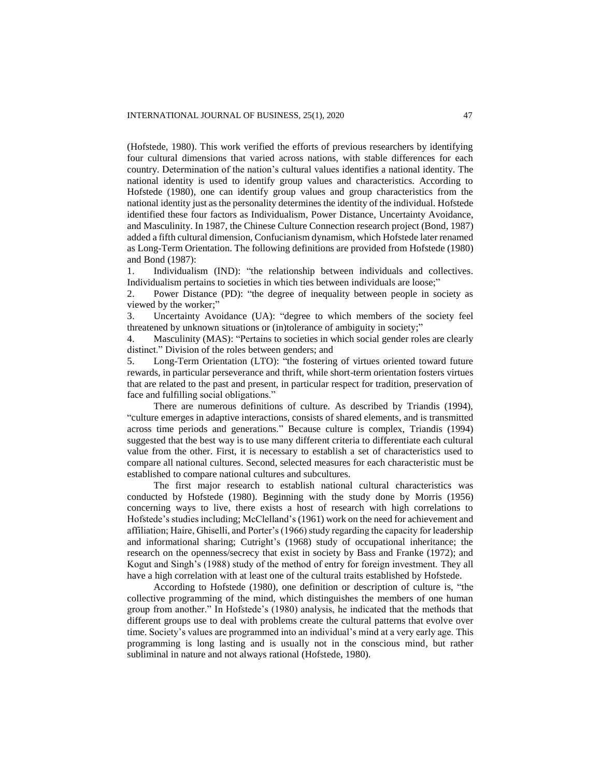(Hofstede, 1980). This work verified the efforts of previous researchers by identifying four cultural dimensions that varied across nations, with stable differences for each country. Determination of the nation's cultural values identifies a national identity. The national identity is used to identify group values and characteristics. According to Hofstede (1980), one can identify group values and group characteristics from the national identity just as the personality determines the identity of the individual. Hofstede identified these four factors as Individualism, Power Distance, Uncertainty Avoidance, and Masculinity. In 1987, the Chinese Culture Connection research project (Bond, 1987) added a fifth cultural dimension, Confucianism dynamism, which Hofstede later renamed as Long-Term Orientation. The following definitions are provided from Hofstede (1980) and Bond (1987):

1. Individualism (IND): "the relationship between individuals and collectives. Individualism pertains to societies in which ties between individuals are loose;"

2. Power Distance (PD): "the degree of inequality between people in society as viewed by the worker;"

3. Uncertainty Avoidance (UA): "degree to which members of the society feel threatened by unknown situations or (in)tolerance of ambiguity in society;"

4. Masculinity (MAS): "Pertains to societies in which social gender roles are clearly distinct." Division of the roles between genders; and

5. Long-Term Orientation (LTO): "the fostering of virtues oriented toward future rewards, in particular perseverance and thrift, while short-term orientation fosters virtues that are related to the past and present, in particular respect for tradition, preservation of face and fulfilling social obligations."

There are numerous definitions of culture. As described by Triandis (1994), "culture emerges in adaptive interactions, consists of shared elements, and is transmitted across time periods and generations." Because culture is complex, Triandis (1994) suggested that the best way is to use many different criteria to differentiate each cultural value from the other. First, it is necessary to establish a set of characteristics used to compare all national cultures. Second, selected measures for each characteristic must be established to compare national cultures and subcultures.

The first major research to establish national cultural characteristics was conducted by Hofstede (1980). Beginning with the study done by Morris (1956) concerning ways to live, there exists a host of research with high correlations to Hofstede's studies including; McClelland's (1961) work on the need for achievement and affiliation; Haire, Ghiselli, and Porter's (1966) study regarding the capacity for leadership and informational sharing; Cutright's (1968) study of occupational inheritance; the research on the openness/secrecy that exist in society by Bass and Franke (1972); and Kogut and Singh's (1988) study of the method of entry for foreign investment. They all have a high correlation with at least one of the cultural traits established by Hofstede.

According to Hofstede (1980), one definition or description of culture is, "the collective programming of the mind, which distinguishes the members of one human group from another." In Hofstede's (1980) analysis, he indicated that the methods that different groups use to deal with problems create the cultural patterns that evolve over time. Society's values are programmed into an individual's mind at a very early age. This programming is long lasting and is usually not in the conscious mind, but rather subliminal in nature and not always rational (Hofstede, 1980).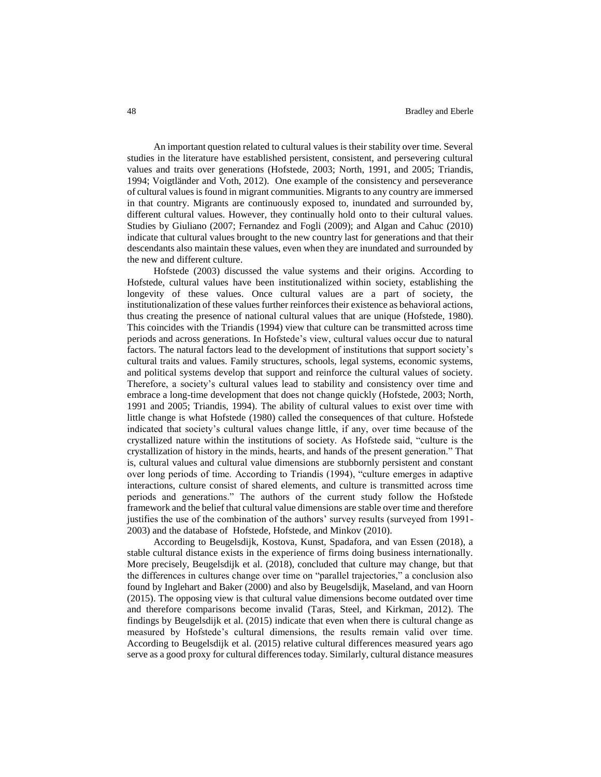An important question related to cultural values is their stability over time. Several studies in the literature have established persistent, consistent, and persevering cultural values and traits over generations (Hofstede, 2003; North, 1991, and 2005; Triandis, 1994; Voigtländer and Voth, 2012). One example of the consistency and perseverance of cultural values is found in migrant communities. Migrants to any country are immersed in that country. Migrants are continuously exposed to, inundated and surrounded by, different cultural values. However, they continually hold onto to their cultural values. Studies by Giuliano (2007; Fernandez and Fogli (2009); and Algan and Cahuc (2010) indicate that cultural values brought to the new country last for generations and that their descendants also maintain these values, even when they are inundated and surrounded by the new and different culture.

Hofstede (2003) discussed the value systems and their origins. According to Hofstede, cultural values have been institutionalized within society, establishing the longevity of these values. Once cultural values are a part of society, the institutionalization of these values further reinforces their existence as behavioral actions, thus creating the presence of national cultural values that are unique (Hofstede, 1980). This coincides with the Triandis (1994) view that culture can be transmitted across time periods and across generations. In Hofstede's view, cultural values occur due to natural factors. The natural factors lead to the development of institutions that support society's cultural traits and values. Family structures, schools, legal systems, economic systems, and political systems develop that support and reinforce the cultural values of society. Therefore, a society's cultural values lead to stability and consistency over time and embrace a long-time development that does not change quickly (Hofstede, 2003; North, 1991 and 2005; Triandis, 1994). The ability of cultural values to exist over time with little change is what Hofstede (1980) called the consequences of that culture. Hofstede indicated that society's cultural values change little, if any, over time because of the crystallized nature within the institutions of society. As Hofstede said, "culture is the crystallization of history in the minds, hearts, and hands of the present generation." That is, cultural values and cultural value dimensions are stubbornly persistent and constant over long periods of time. According to Triandis (1994), "culture emerges in adaptive interactions, culture consist of shared elements, and culture is transmitted across time periods and generations." The authors of the current study follow the Hofstede framework and the belief that cultural value dimensions are stable over time and therefore justifies the use of the combination of the authors' survey results (surveyed from 1991- 2003) and the database of Hofstede, Hofstede, and Minkov (2010).

According to Beugelsdijk, Kostova, Kunst, Spadafora, and van Essen (2018), a stable cultural distance exists in the experience of firms doing business internationally. More precisely, Beugelsdijk et al. (2018), concluded that culture may change, but that the differences in cultures change over time on "parallel trajectories," a conclusion also found by Inglehart and Baker (2000) and also by Beugelsdijk, Maseland, and van Hoorn (2015). The opposing view is that cultural value dimensions become outdated over time and therefore comparisons become invalid (Taras, Steel, and Kirkman, 2012). The findings by Beugelsdijk et al. (2015) indicate that even when there is cultural change as measured by Hofstede's cultural dimensions, the results remain valid over time. According to Beugelsdijk et al. (2015) relative cultural differences measured years ago serve as a good proxy for cultural differences today. Similarly, cultural distance measures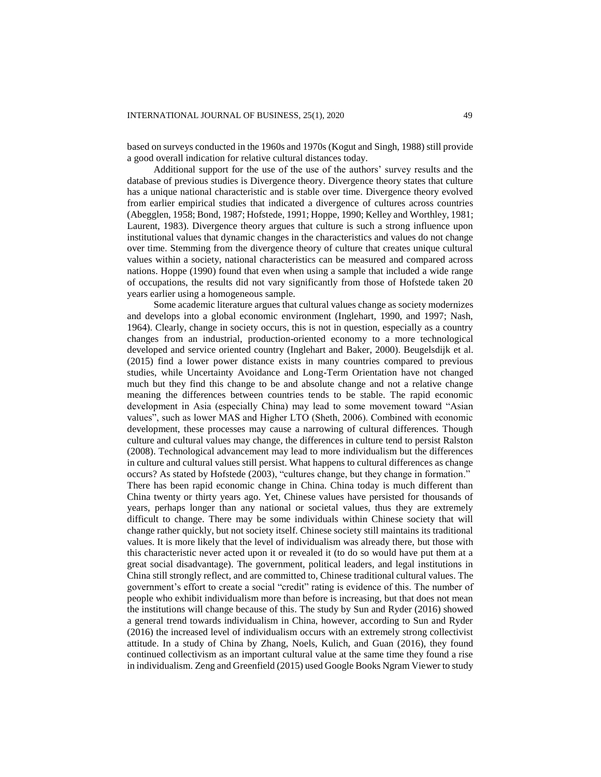based on surveys conducted in the 1960s and 1970s (Kogut and Singh, 1988) still provide a good overall indication for relative cultural distances today.

Additional support for the use of the use of the authors' survey results and the database of previous studies is Divergence theory. Divergence theory states that culture has a unique national characteristic and is stable over time. Divergence theory evolved from earlier empirical studies that indicated a divergence of cultures across countries (Abegglen, 1958; Bond, 1987; Hofstede, 1991; Hoppe, 1990; Kelley and Worthley, 1981; Laurent, 1983). Divergence theory argues that culture is such a strong influence upon institutional values that dynamic changes in the characteristics and values do not change over time. Stemming from the divergence theory of culture that creates unique cultural values within a society, national characteristics can be measured and compared across nations. Hoppe (1990) found that even when using a sample that included a wide range of occupations, the results did not vary significantly from those of Hofstede taken 20 years earlier using a homogeneous sample.

Some academic literature argues that cultural values change as society modernizes and develops into a global economic environment (Inglehart, 1990, and 1997; Nash, 1964). Clearly, change in society occurs, this is not in question, especially as a country changes from an industrial, production-oriented economy to a more technological developed and service oriented country (Inglehart and Baker, 2000). Beugelsdijk et al. (2015) find a lower power distance exists in many countries compared to previous studies, while Uncertainty Avoidance and Long-Term Orientation have not changed much but they find this change to be and absolute change and not a relative change meaning the differences between countries tends to be stable. The rapid economic development in Asia (especially China) may lead to some movement toward "Asian values", such as lower MAS and Higher LTO (Sheth, 2006). Combined with economic development, these processes may cause a narrowing of cultural differences. Though culture and cultural values may change, the differences in culture tend to persist Ralston (2008). Technological advancement may lead to more individualism but the differences in culture and cultural values still persist. What happens to cultural differences as change occurs? As stated by Hofstede (2003), "cultures change, but they change in formation." There has been rapid economic change in China. China today is much different than China twenty or thirty years ago. Yet, Chinese values have persisted for thousands of years, perhaps longer than any national or societal values, thus they are extremely difficult to change. There may be some individuals within Chinese society that will change rather quickly, but not society itself. Chinese society still maintains its traditional values. It is more likely that the level of individualism was already there, but those with this characteristic never acted upon it or revealed it (to do so would have put them at a great social disadvantage). The government, political leaders, and legal institutions in China still strongly reflect, and are committed to, Chinese traditional cultural values. The government's effort to create a social "credit" rating is evidence of this. The number of people who exhibit individualism more than before is increasing, but that does not mean the institutions will change because of this. The study by Sun and Ryder (2016) showed a general trend towards individualism in China, however, according to Sun and Ryder (2016) the increased level of individualism occurs with an extremely strong collectivist attitude. In a study of China by Zhang, Noels, Kulich, and Guan (2016), they found continued collectivism as an important cultural value at the same time they found a rise in individualism. Zeng and Greenfield (2015) used Google Books Ngram Viewer to study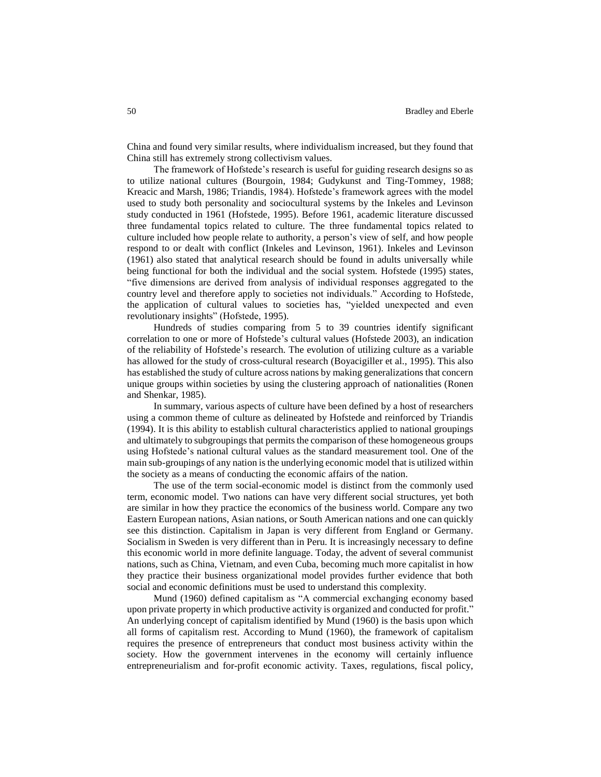China and found very similar results, where individualism increased, but they found that China still has extremely strong collectivism values.

The framework of Hofstede's research is useful for guiding research designs so as to utilize national cultures (Bourgoin, 1984; Gudykunst and Ting-Tommey, 1988; Kreacic and Marsh, 1986; Triandis, 1984). Hofstede's framework agrees with the model used to study both personality and sociocultural systems by the Inkeles and Levinson study conducted in 1961 (Hofstede, 1995). Before 1961, academic literature discussed three fundamental topics related to culture. The three fundamental topics related to culture included how people relate to authority, a person's view of self, and how people respond to or dealt with conflict (Inkeles and Levinson, 1961). Inkeles and Levinson (1961) also stated that analytical research should be found in adults universally while being functional for both the individual and the social system. Hofstede (1995) states, "five dimensions are derived from analysis of individual responses aggregated to the country level and therefore apply to societies not individuals." According to Hofstede, the application of cultural values to societies has, "yielded unexpected and even revolutionary insights" (Hofstede, 1995).

Hundreds of studies comparing from 5 to 39 countries identify significant correlation to one or more of Hofstede's cultural values (Hofstede 2003), an indication of the reliability of Hofstede's research. The evolution of utilizing culture as a variable has allowed for the study of cross-cultural research (Boyacigiller et al., 1995). This also has established the study of culture across nations by making generalizations that concern unique groups within societies by using the clustering approach of nationalities (Ronen and Shenkar, 1985).

In summary, various aspects of culture have been defined by a host of researchers using a common theme of culture as delineated by Hofstede and reinforced by Triandis (1994). It is this ability to establish cultural characteristics applied to national groupings and ultimately to subgroupings that permits the comparison of these homogeneous groups using Hofstede's national cultural values as the standard measurement tool. One of the main sub-groupings of any nation is the underlying economic model that is utilized within the society as a means of conducting the economic affairs of the nation.

The use of the term social-economic model is distinct from the commonly used term, economic model. Two nations can have very different social structures, yet both are similar in how they practice the economics of the business world. Compare any two Eastern European nations, Asian nations, or South American nations and one can quickly see this distinction. Capitalism in Japan is very different from England or Germany. Socialism in Sweden is very different than in Peru. It is increasingly necessary to define this economic world in more definite language. Today, the advent of several communist nations, such as China, Vietnam, and even Cuba, becoming much more capitalist in how they practice their business organizational model provides further evidence that both social and economic definitions must be used to understand this complexity.

Mund (1960) defined capitalism as "A commercial exchanging economy based upon private property in which productive activity is organized and conducted for profit." An underlying concept of capitalism identified by Mund (1960) is the basis upon which all forms of capitalism rest. According to Mund (1960), the framework of capitalism requires the presence of entrepreneurs that conduct most business activity within the society. How the government intervenes in the economy will certainly influence entrepreneurialism and for-profit economic activity. Taxes, regulations, fiscal policy,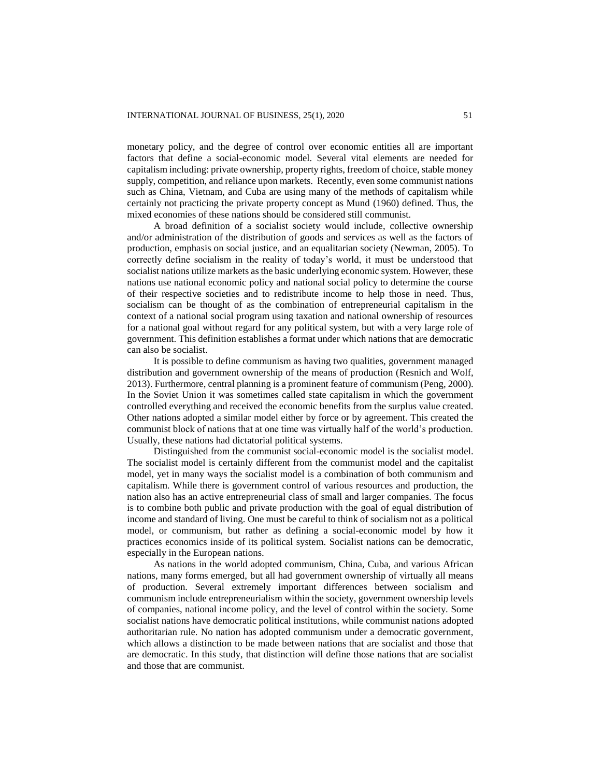monetary policy, and the degree of control over economic entities all are important factors that define a social-economic model. Several vital elements are needed for capitalism including: private ownership, property rights, freedom of choice, stable money supply, competition, and reliance upon markets. Recently, even some communist nations such as China, Vietnam, and Cuba are using many of the methods of capitalism while certainly not practicing the private property concept as Mund (1960) defined. Thus, the mixed economies of these nations should be considered still communist.

A broad definition of a socialist society would include, collective ownership and/or administration of the distribution of goods and services as well as the factors of production, emphasis on social justice, and an equalitarian society (Newman, 2005). To correctly define socialism in the reality of today's world, it must be understood that socialist nations utilize markets as the basic underlying economic system. However, these nations use national economic policy and national social policy to determine the course of their respective societies and to redistribute income to help those in need. Thus, socialism can be thought of as the combination of entrepreneurial capitalism in the context of a national social program using taxation and national ownership of resources for a national goal without regard for any political system, but with a very large role of government. This definition establishes a format under which nations that are democratic can also be socialist.

It is possible to define communism as having two qualities, government managed distribution and government ownership of the means of production (Resnich and Wolf, 2013). Furthermore, central planning is a prominent feature of communism (Peng, 2000). In the Soviet Union it was sometimes called state capitalism in which the government controlled everything and received the economic benefits from the surplus value created. Other nations adopted a similar model either by force or by agreement. This created the communist block of nations that at one time was virtually half of the world's production. Usually, these nations had dictatorial political systems.

Distinguished from the communist social-economic model is the socialist model. The socialist model is certainly different from the communist model and the capitalist model, yet in many ways the socialist model is a combination of both communism and capitalism. While there is government control of various resources and production, the nation also has an active entrepreneurial class of small and larger companies. The focus is to combine both public and private production with the goal of equal distribution of income and standard of living. One must be careful to think of socialism not as a political model, or communism, but rather as defining a social-economic model by how it practices economics inside of its political system. Socialist nations can be democratic, especially in the European nations.

As nations in the world adopted communism, China, Cuba, and various African nations, many forms emerged, but all had government ownership of virtually all means of production. Several extremely important differences between socialism and communism include entrepreneurialism within the society, government ownership levels of companies, national income policy, and the level of control within the society. Some socialist nations have democratic political institutions, while communist nations adopted authoritarian rule. No nation has adopted communism under a democratic government, which allows a distinction to be made between nations that are socialist and those that are democratic. In this study, that distinction will define those nations that are socialist and those that are communist.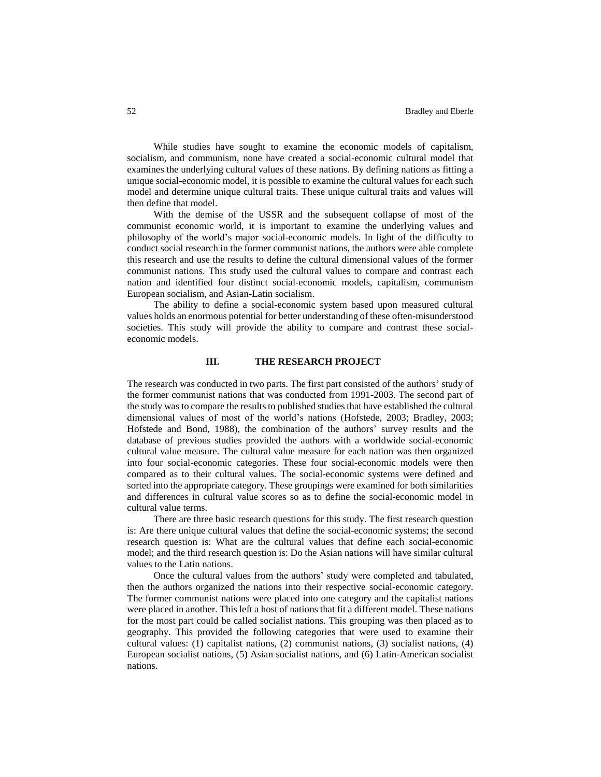While studies have sought to examine the economic models of capitalism, socialism, and communism, none have created a social-economic cultural model that examines the underlying cultural values of these nations. By defining nations as fitting a unique social-economic model, it is possible to examine the cultural values for each such model and determine unique cultural traits. These unique cultural traits and values will then define that model.

With the demise of the USSR and the subsequent collapse of most of the communist economic world, it is important to examine the underlying values and philosophy of the world's major social-economic models. In light of the difficulty to conduct social research in the former communist nations, the authors were able complete this research and use the results to define the cultural dimensional values of the former communist nations. This study used the cultural values to compare and contrast each nation and identified four distinct social-economic models, capitalism, communism European socialism, and Asian-Latin socialism.

The ability to define a social-economic system based upon measured cultural values holds an enormous potential for better understanding of these often-misunderstood societies. This study will provide the ability to compare and contrast these socialeconomic models.

# **III. THE RESEARCH PROJECT**

The research was conducted in two parts. The first part consisted of the authors' study of the former communist nations that was conducted from 1991-2003. The second part of the study was to compare the results to published studies that have established the cultural dimensional values of most of the world's nations (Hofstede, 2003; Bradley, 2003; Hofstede and Bond, 1988), the combination of the authors' survey results and the database of previous studies provided the authors with a worldwide social-economic cultural value measure. The cultural value measure for each nation was then organized into four social-economic categories. These four social-economic models were then compared as to their cultural values. The social-economic systems were defined and sorted into the appropriate category. These groupings were examined for both similarities and differences in cultural value scores so as to define the social-economic model in cultural value terms.

There are three basic research questions for this study. The first research question is: Are there unique cultural values that define the social-economic systems; the second research question is: What are the cultural values that define each social-economic model; and the third research question is: Do the Asian nations will have similar cultural values to the Latin nations.

Once the cultural values from the authors' study were completed and tabulated, then the authors organized the nations into their respective social-economic category. The former communist nations were placed into one category and the capitalist nations were placed in another. This left a host of nations that fit a different model. These nations for the most part could be called socialist nations. This grouping was then placed as to geography. This provided the following categories that were used to examine their cultural values: (1) capitalist nations, (2) communist nations, (3) socialist nations, (4) European socialist nations, (5) Asian socialist nations, and (6) Latin-American socialist nations.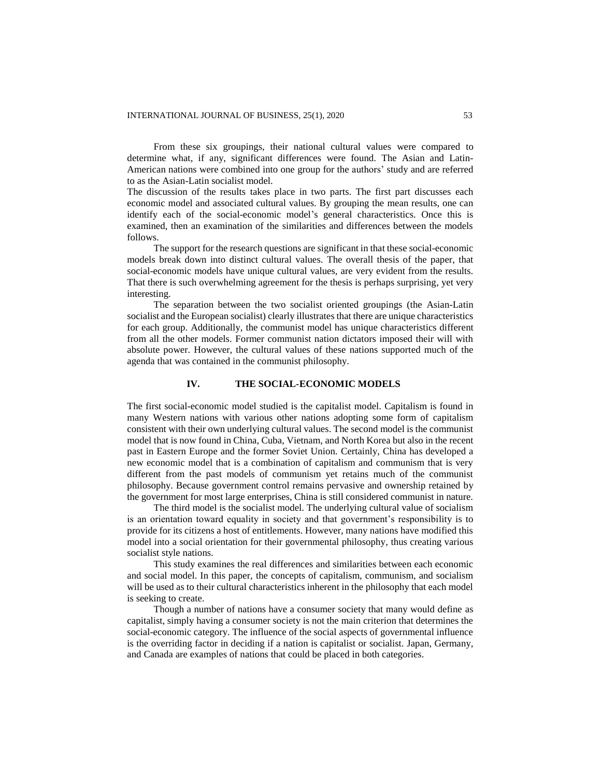From these six groupings, their national cultural values were compared to determine what, if any, significant differences were found. The Asian and Latin-American nations were combined into one group for the authors' study and are referred to as the Asian-Latin socialist model.

The discussion of the results takes place in two parts. The first part discusses each economic model and associated cultural values. By grouping the mean results, one can identify each of the social-economic model's general characteristics. Once this is examined, then an examination of the similarities and differences between the models follows.

The support for the research questions are significant in that these social-economic models break down into distinct cultural values. The overall thesis of the paper, that social-economic models have unique cultural values, are very evident from the results. That there is such overwhelming agreement for the thesis is perhaps surprising, yet very interesting.

The separation between the two socialist oriented groupings (the Asian-Latin socialist and the European socialist) clearly illustrates that there are unique characteristics for each group. Additionally, the communist model has unique characteristics different from all the other models. Former communist nation dictators imposed their will with absolute power. However, the cultural values of these nations supported much of the agenda that was contained in the communist philosophy.

# **IV. THE SOCIAL-ECONOMIC MODELS**

The first social-economic model studied is the capitalist model. Capitalism is found in many Western nations with various other nations adopting some form of capitalism consistent with their own underlying cultural values. The second model is the communist model that is now found in China, Cuba, Vietnam, and North Korea but also in the recent past in Eastern Europe and the former Soviet Union. Certainly, China has developed a new economic model that is a combination of capitalism and communism that is very different from the past models of communism yet retains much of the communist philosophy. Because government control remains pervasive and ownership retained by the government for most large enterprises, China is still considered communist in nature.

The third model is the socialist model. The underlying cultural value of socialism is an orientation toward equality in society and that government's responsibility is to provide for its citizens a host of entitlements. However, many nations have modified this model into a social orientation for their governmental philosophy, thus creating various socialist style nations.

This study examines the real differences and similarities between each economic and social model. In this paper, the concepts of capitalism, communism, and socialism will be used as to their cultural characteristics inherent in the philosophy that each model is seeking to create.

Though a number of nations have a consumer society that many would define as capitalist, simply having a consumer society is not the main criterion that determines the social-economic category. The influence of the social aspects of governmental influence is the overriding factor in deciding if a nation is capitalist or socialist. Japan, Germany, and Canada are examples of nations that could be placed in both categories.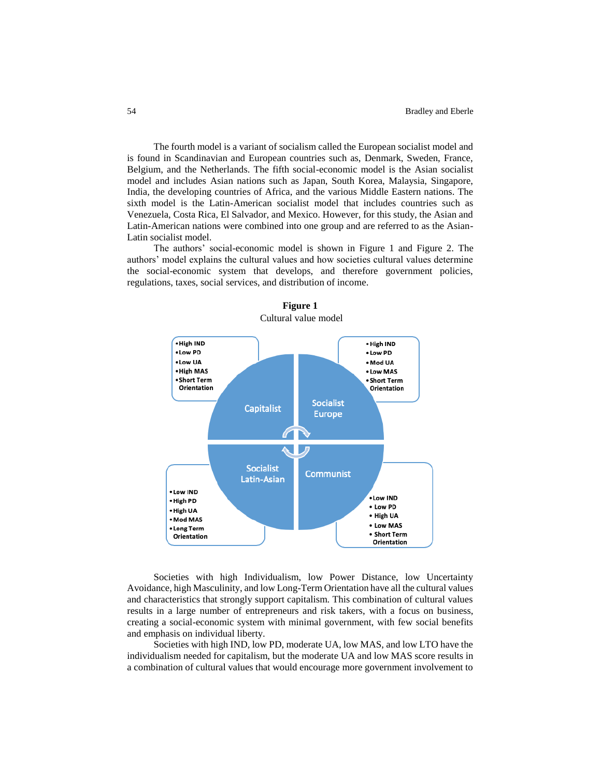The fourth model is a variant of socialism called the European socialist model and is found in Scandinavian and European countries such as, Denmark, Sweden, France, Belgium, and the Netherlands. The fifth social-economic model is the Asian socialist model and includes Asian nations such as Japan, South Korea, Malaysia, Singapore, India, the developing countries of Africa, and the various Middle Eastern nations. The sixth model is the Latin-American socialist model that includes countries such as Venezuela, Costa Rica, El Salvador, and Mexico. However, for this study, the Asian and Latin-American nations were combined into one group and are referred to as the Asian-Latin socialist model.

The authors' social-economic model is shown in Figure 1 and Figure 2. The authors' model explains the cultural values and how societies cultural values determine the social-economic system that develops, and therefore government policies, regulations, taxes, social services, and distribution of income.



**Figure 1** Cultural value model

Societies with high Individualism, low Power Distance, low Uncertainty Avoidance, high Masculinity, and low Long-Term Orientation have all the cultural values and characteristics that strongly support capitalism. This combination of cultural values results in a large number of entrepreneurs and risk takers, with a focus on business, creating a social-economic system with minimal government, with few social benefits and emphasis on individual liberty.

Societies with high IND, low PD, moderate UA, low MAS, and low LTO have the individualism needed for capitalism, but the moderate UA and low MAS score results in a combination of cultural values that would encourage more government involvement to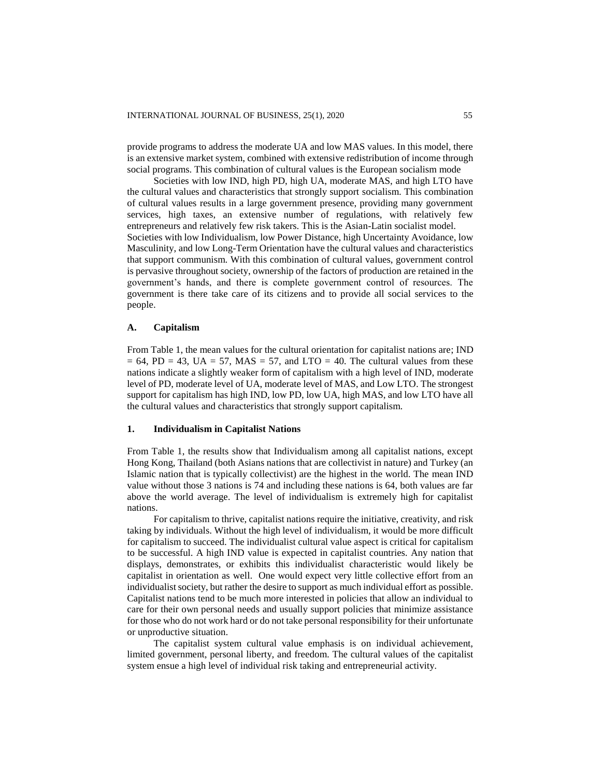provide programs to address the moderate UA and low MAS values. In this model, there is an extensive market system, combined with extensive redistribution of income through social programs. This combination of cultural values is the European socialism mode

Societies with low IND, high PD, high UA, moderate MAS, and high LTO have the cultural values and characteristics that strongly support socialism. This combination of cultural values results in a large government presence, providing many government services, high taxes, an extensive number of regulations, with relatively few entrepreneurs and relatively few risk takers. This is the Asian-Latin socialist model. Societies with low Individualism, low Power Distance, high Uncertainty Avoidance, low Masculinity, and low Long-Term Orientation have the cultural values and characteristics that support communism. With this combination of cultural values, government control is pervasive throughout society, ownership of the factors of production are retained in the government's hands, and there is complete government control of resources. The government is there take care of its citizens and to provide all social services to the people.

## **A. Capitalism**

From Table 1, the mean values for the cultural orientation for capitalist nations are; IND  $= 64$ , PD  $= 43$ , UA  $= 57$ , MAS  $= 57$ , and LTO  $= 40$ . The cultural values from these nations indicate a slightly weaker form of capitalism with a high level of IND, moderate level of PD, moderate level of UA, moderate level of MAS, and Low LTO. The strongest support for capitalism has high IND, low PD, low UA, high MAS, and low LTO have all the cultural values and characteristics that strongly support capitalism.

#### **1. Individualism in Capitalist Nations**

From Table 1, the results show that Individualism among all capitalist nations, except Hong Kong, Thailand (both Asians nations that are collectivist in nature) and Turkey (an Islamic nation that is typically collectivist) are the highest in the world. The mean IND value without those 3 nations is 74 and including these nations is 64, both values are far above the world average. The level of individualism is extremely high for capitalist nations.

For capitalism to thrive, capitalist nations require the initiative, creativity, and risk taking by individuals. Without the high level of individualism, it would be more difficult for capitalism to succeed. The individualist cultural value aspect is critical for capitalism to be successful. A high IND value is expected in capitalist countries. Any nation that displays, demonstrates, or exhibits this individualist characteristic would likely be capitalist in orientation as well. One would expect very little collective effort from an individualist society, but rather the desire to support as much individual effort as possible. Capitalist nations tend to be much more interested in policies that allow an individual to care for their own personal needs and usually support policies that minimize assistance for those who do not work hard or do not take personal responsibility for their unfortunate or unproductive situation.

The capitalist system cultural value emphasis is on individual achievement, limited government, personal liberty, and freedom. The cultural values of the capitalist system ensue a high level of individual risk taking and entrepreneurial activity.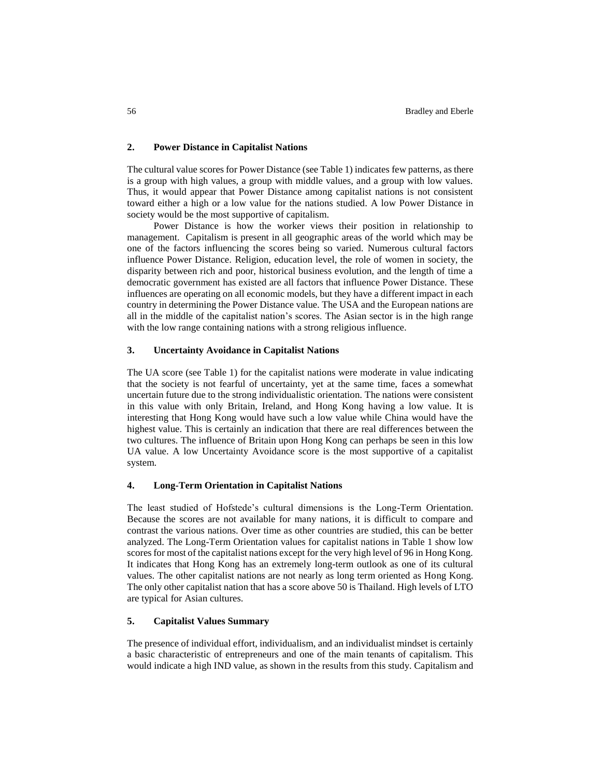## **2. Power Distance in Capitalist Nations**

The cultural value scores for Power Distance (see Table 1) indicates few patterns, as there is a group with high values, a group with middle values, and a group with low values. Thus, it would appear that Power Distance among capitalist nations is not consistent toward either a high or a low value for the nations studied. A low Power Distance in society would be the most supportive of capitalism.

Power Distance is how the worker views their position in relationship to management. Capitalism is present in all geographic areas of the world which may be one of the factors influencing the scores being so varied. Numerous cultural factors influence Power Distance. Religion, education level, the role of women in society, the disparity between rich and poor, historical business evolution, and the length of time a democratic government has existed are all factors that influence Power Distance. These influences are operating on all economic models, but they have a different impact in each country in determining the Power Distance value. The USA and the European nations are all in the middle of the capitalist nation's scores. The Asian sector is in the high range with the low range containing nations with a strong religious influence.

# **3. Uncertainty Avoidance in Capitalist Nations**

The UA score (see Table 1) for the capitalist nations were moderate in value indicating that the society is not fearful of uncertainty, yet at the same time, faces a somewhat uncertain future due to the strong individualistic orientation. The nations were consistent in this value with only Britain, Ireland, and Hong Kong having a low value. It is interesting that Hong Kong would have such a low value while China would have the highest value. This is certainly an indication that there are real differences between the two cultures. The influence of Britain upon Hong Kong can perhaps be seen in this low UA value. A low Uncertainty Avoidance score is the most supportive of a capitalist system.

# **4. Long-Term Orientation in Capitalist Nations**

The least studied of Hofstede's cultural dimensions is the Long-Term Orientation. Because the scores are not available for many nations, it is difficult to compare and contrast the various nations. Over time as other countries are studied, this can be better analyzed. The Long-Term Orientation values for capitalist nations in Table 1 show low scores for most of the capitalist nations except for the very high level of 96 in Hong Kong. It indicates that Hong Kong has an extremely long-term outlook as one of its cultural values. The other capitalist nations are not nearly as long term oriented as Hong Kong. The only other capitalist nation that has a score above 50 is Thailand. High levels of LTO are typical for Asian cultures.

# **5. Capitalist Values Summary**

The presence of individual effort, individualism, and an individualist mindset is certainly a basic characteristic of entrepreneurs and one of the main tenants of capitalism. This would indicate a high IND value, as shown in the results from this study. Capitalism and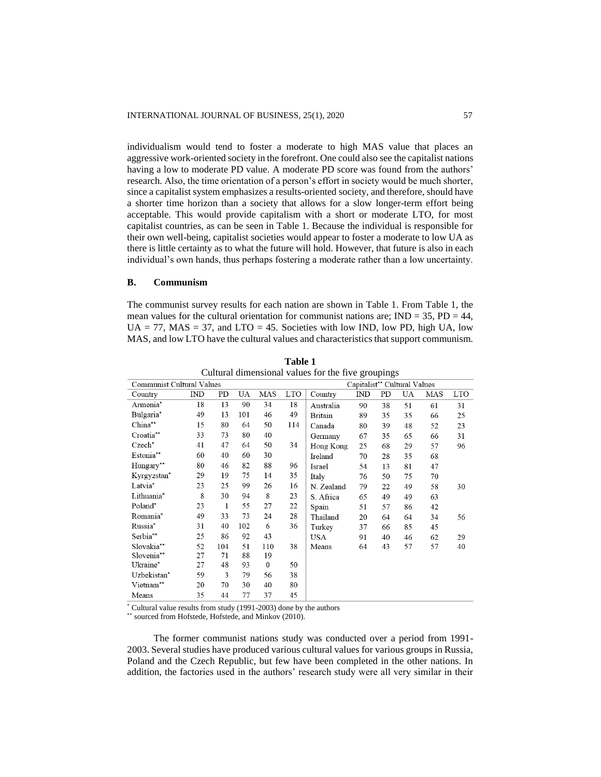individualism would tend to foster a moderate to high MAS value that places an aggressive work-oriented society in the forefront. One could also see the capitalist nations having a low to moderate PD value. A moderate PD score was found from the authors' research. Also, the time orientation of a person's effort in society would be much shorter, since a capitalist system emphasizes a results-oriented society, and therefore, should have a shorter time horizon than a society that allows for a slow longer-term effort being acceptable. This would provide capitalism with a short or moderate LTO, for most capitalist countries, as can be seen in Table 1. Because the individual is responsible for their own well-being, capitalist societies would appear to foster a moderate to low UA as there is little certainty as to what the future will hold. However, that future is also in each individual's own hands, thus perhaps fostering a moderate rather than a low uncertainty.

## **B. Communism**

The communist survey results for each nation are shown in Table 1. From Table 1, the mean values for the cultural orientation for communist nations are;  $IND = 35$ ,  $PD = 44$ ,  $UA = 77$ ,  $MAS = 37$ , and  $LTO = 45$ . Societies with low IND, low PD, high UA, low MAS, and low LTO have the cultural values and characteristics that support communism.

| Cultural dimensional values for the live groupings |     |              |     |                              |            |                |     |    |    |     |            |
|----------------------------------------------------|-----|--------------|-----|------------------------------|------------|----------------|-----|----|----|-----|------------|
| <b>Communist Cultural Values</b>                   |     |              |     | Capitalist** Cultural Values |            |                |     |    |    |     |            |
| Country                                            | IND | PD           | UA  | MAS                          | <b>LTO</b> | Country        | IND | PD | UA | MAS | <b>LTO</b> |
| Armenia <sup>*</sup>                               | 18  | 13           | 90  | 34                           | 18         | Australia      | 90  | 38 | 51 | 61  | 31         |
| Bulgaria*                                          | 49  | 13           | 101 | 46                           | 49         | <b>Britain</b> | 89  | 35 | 35 | 66  | 25         |
| China**                                            | 15  | 80           | 64  | 50                           | 114        | Canada         | 80  | 39 | 48 | 52  | 23         |
| Croatia**                                          | 33  | 73           | 80  | 40                           |            | Germany        | 67  | 35 | 65 | 66  | 31         |
| Czech*                                             | 41  | 47           | 64  | 50                           | 34         | Hong Kong      | 25  | 68 | 29 | 57  | 96         |
| Estonia**                                          | 60  | 40           | 60  | 30                           |            | Ireland        | 70  | 28 | 35 | 68  |            |
| Hungary**                                          | 80  | 46           | 82  | 88                           | 96         | Israel         | 54  | 13 | 81 | 47  |            |
| Kyrgyzstan*                                        | 29  | 19           | 75  | 14                           | 35         | Italy          | 76  | 50 | 75 | 70  |            |
| Latvia*                                            | 23  | 25           | 99  | 26                           | 16         | N. Zealand     | 79  | 22 | 49 | 58  | 30         |
| Lithuania*                                         | 8   | 30           | 94  | 8                            | 23         | S. Africa      | 65  | 49 | 49 | 63  |            |
| Poland*                                            | 23  | $\mathbf{1}$ | 55  | 27                           | 22         | Spain          | 51  | 57 | 86 | 42  |            |
| Romania*                                           | 49  | 33           | 73  | 24                           | 28         | Thailand       | 20  | 64 | 64 | 34  | 56         |
| Russia*                                            | 31  | 40           | 102 | 6                            | 36         | Turkey         | 37  | 66 | 85 | 45  |            |
| Serbia**                                           | 25  | 86           | 92  | 43                           |            | <b>USA</b>     | 91  | 40 | 46 | 62  | 29         |
| Slovakia**                                         | 52  | 104          | 51  | 110                          | 38         | Means          | 64  | 43 | 57 | 57  | 40         |
| Slovenia**                                         | 27  | 71           | 88  | 19                           |            |                |     |    |    |     |            |
| Ukraine*                                           | 27  | 48           | 93  | $\boldsymbol{0}$             | 50         |                |     |    |    |     |            |
| Uzbekistan*                                        | 59  | 3            | 79  | 56                           | 38         |                |     |    |    |     |            |
| Vietnam**                                          | 20  | 70           | 30  | 40                           | 80         |                |     |    |    |     |            |
| Means                                              | 35  | 44           | 77  | 37                           | 45         |                |     |    |    |     |            |

**Table 1**  $C<sub>u</sub>$  Cultural dimensional values for the fiv

\* Cultural value results from study (1991-2003) done by the authors

\*\* sourced from Hofstede, Hofstede, and Minkov (2010).

The former communist nations study was conducted over a period from 1991- 2003. Several studies have produced various cultural values for various groups in Russia, Poland and the Czech Republic, but few have been completed in the other nations. In addition, the factories used in the authors' research study were all very similar in their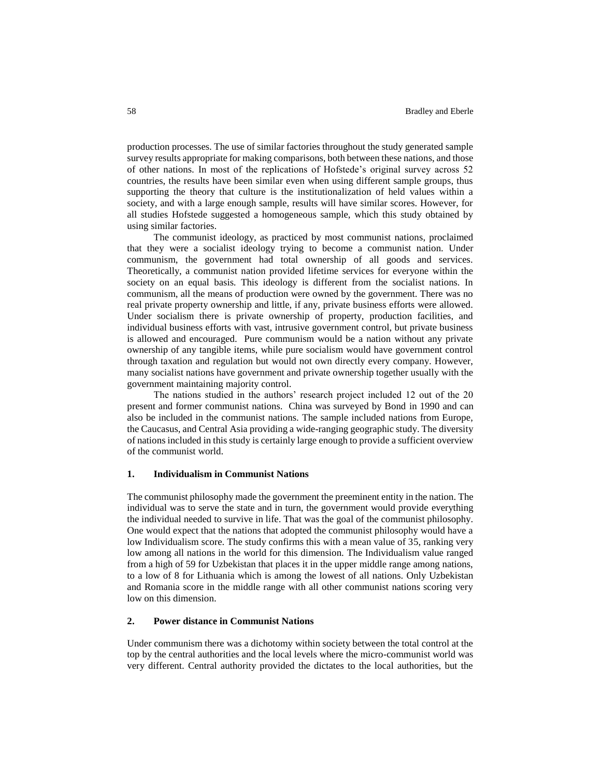production processes. The use of similar factories throughout the study generated sample survey results appropriate for making comparisons, both between these nations, and those of other nations. In most of the replications of Hofstede's original survey across 52 countries, the results have been similar even when using different sample groups, thus supporting the theory that culture is the institutionalization of held values within a society, and with a large enough sample, results will have similar scores. However, for all studies Hofstede suggested a homogeneous sample, which this study obtained by using similar factories.

The communist ideology, as practiced by most communist nations, proclaimed that they were a socialist ideology trying to become a communist nation. Under communism, the government had total ownership of all goods and services. Theoretically, a communist nation provided lifetime services for everyone within the society on an equal basis. This ideology is different from the socialist nations. In communism, all the means of production were owned by the government. There was no real private property ownership and little, if any, private business efforts were allowed. Under socialism there is private ownership of property, production facilities, and individual business efforts with vast, intrusive government control, but private business is allowed and encouraged. Pure communism would be a nation without any private ownership of any tangible items, while pure socialism would have government control through taxation and regulation but would not own directly every company. However, many socialist nations have government and private ownership together usually with the government maintaining majority control.

The nations studied in the authors' research project included 12 out of the 20 present and former communist nations. China was surveyed by Bond in 1990 and can also be included in the communist nations. The sample included nations from Europe, the Caucasus, and Central Asia providing a wide-ranging geographic study. The diversity of nations included in this study is certainly large enough to provide a sufficient overview of the communist world.

## **1. Individualism in Communist Nations**

The communist philosophy made the government the preeminent entity in the nation. The individual was to serve the state and in turn, the government would provide everything the individual needed to survive in life. That was the goal of the communist philosophy. One would expect that the nations that adopted the communist philosophy would have a low Individualism score. The study confirms this with a mean value of 35, ranking very low among all nations in the world for this dimension. The Individualism value ranged from a high of 59 for Uzbekistan that places it in the upper middle range among nations, to a low of 8 for Lithuania which is among the lowest of all nations. Only Uzbekistan and Romania score in the middle range with all other communist nations scoring very low on this dimension.

# **2. Power distance in Communist Nations**

Under communism there was a dichotomy within society between the total control at the top by the central authorities and the local levels where the micro-communist world was very different. Central authority provided the dictates to the local authorities, but the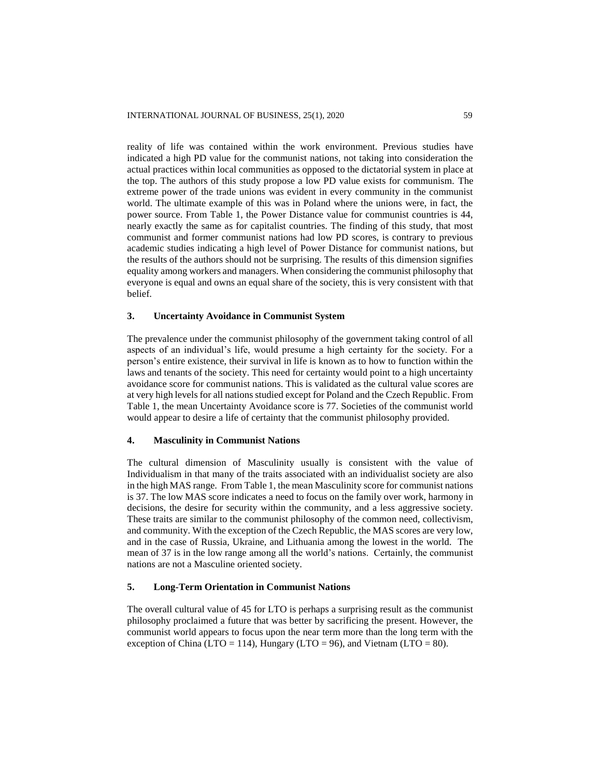reality of life was contained within the work environment. Previous studies have indicated a high PD value for the communist nations, not taking into consideration the actual practices within local communities as opposed to the dictatorial system in place at the top. The authors of this study propose a low PD value exists for communism. The extreme power of the trade unions was evident in every community in the communist world. The ultimate example of this was in Poland where the unions were, in fact, the power source. From Table 1, the Power Distance value for communist countries is 44, nearly exactly the same as for capitalist countries. The finding of this study, that most communist and former communist nations had low PD scores, is contrary to previous academic studies indicating a high level of Power Distance for communist nations, but the results of the authors should not be surprising. The results of this dimension signifies equality among workers and managers. When considering the communist philosophy that everyone is equal and owns an equal share of the society, this is very consistent with that belief.

## **3. Uncertainty Avoidance in Communist System**

The prevalence under the communist philosophy of the government taking control of all aspects of an individual's life, would presume a high certainty for the society. For a person's entire existence, their survival in life is known as to how to function within the laws and tenants of the society. This need for certainty would point to a high uncertainty avoidance score for communist nations. This is validated as the cultural value scores are at very high levels for all nations studied except for Poland and the Czech Republic. From Table 1, the mean Uncertainty Avoidance score is 77. Societies of the communist world would appear to desire a life of certainty that the communist philosophy provided.

## **4. Masculinity in Communist Nations**

The cultural dimension of Masculinity usually is consistent with the value of Individualism in that many of the traits associated with an individualist society are also in the high MAS range. From Table 1, the mean Masculinity score for communist nations is 37. The low MAS score indicates a need to focus on the family over work, harmony in decisions, the desire for security within the community, and a less aggressive society. These traits are similar to the communist philosophy of the common need, collectivism, and community. With the exception of the Czech Republic, the MAS scores are very low, and in the case of Russia, Ukraine, and Lithuania among the lowest in the world. The mean of 37 is in the low range among all the world's nations. Certainly, the communist nations are not a Masculine oriented society.

## **5. Long-Term Orientation in Communist Nations**

The overall cultural value of 45 for LTO is perhaps a surprising result as the communist philosophy proclaimed a future that was better by sacrificing the present. However, the communist world appears to focus upon the near term more than the long term with the exception of China (LTO = 114), Hungary (LTO = 96), and Vietnam (LTO = 80).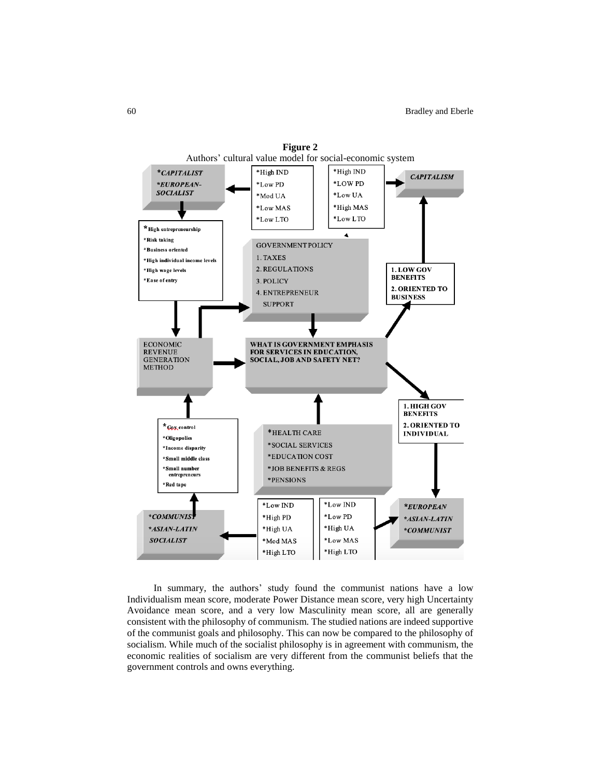

In summary, the authors' study found the communist nations have a low Individualism mean score, moderate Power Distance mean score, very high Uncertainty Avoidance mean score, and a very low Masculinity mean score, all are generally consistent with the philosophy of communism. The studied nations are indeed supportive of the communist goals and philosophy. This can now be compared to the philosophy of socialism. While much of the socialist philosophy is in agreement with communism, the economic realities of socialism are very different from the communist beliefs that the government controls and owns everything.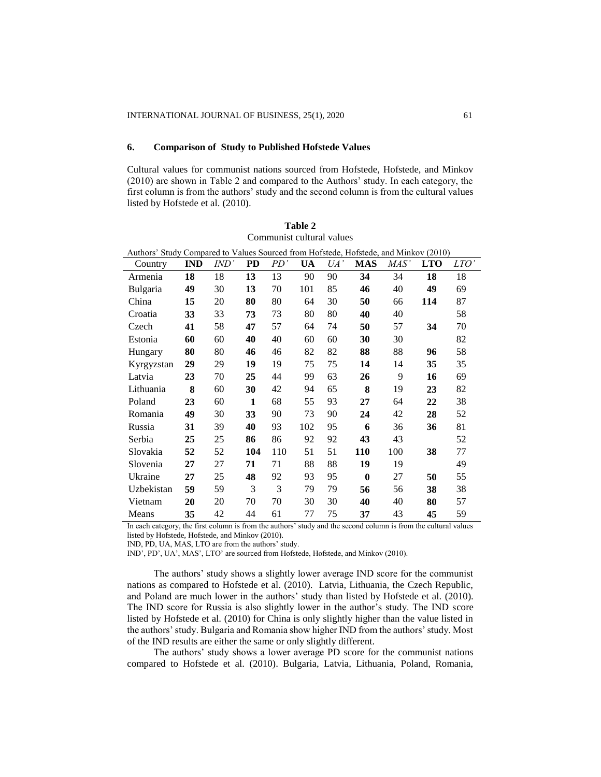## **6. Comparison of Study to Published Hofstede Values**

Cultural values for communist nations sourced from Hofstede, Hofstede, and Minkov (2010) are shown in Table 2 and compared to the Authors' study. In each category, the first column is from the authors' study and the second column is from the cultural values listed by Hofstede et al. (2010).

| Authors' Study Compared to Values Sourced from Hofstede, Hofstede, and Minkov (2010) |            |      |     |     |     |     |              |      |            |      |
|--------------------------------------------------------------------------------------|------------|------|-----|-----|-----|-----|--------------|------|------------|------|
| Country                                                                              | <b>IND</b> | IND' | PD  | PD' | UA  | UA' | <b>MAS</b>   | MAS' | <b>LTO</b> | LTO' |
| Armenia                                                                              | 18         | 18   | 13  | 13  | 90  | 90  | 34           | 34   | 18         | 18   |
| Bulgaria                                                                             | 49         | 30   | 13  | 70  | 101 | 85  | 46           | 40   | 49         | 69   |
| China                                                                                | 15         | 20   | 80  | 80  | 64  | 30  | 50           | 66   | 114        | 87   |
| Croatia                                                                              | 33         | 33   | 73  | 73  | 80  | 80  | 40           | 40   |            | 58   |
| Czech                                                                                | 41         | 58   | 47  | 57  | 64  | 74  | 50           | 57   | 34         | 70   |
| Estonia                                                                              | 60         | 60   | 40  | 40  | 60  | 60  | 30           | 30   |            | 82   |
| Hungary                                                                              | 80         | 80   | 46  | 46  | 82  | 82  | 88           | 88   | 96         | 58   |
| Kyrgyzstan                                                                           | 29         | 29   | 19  | 19  | 75  | 75  | 14           | 14   | 35         | 35   |
| Latvia                                                                               | 23         | 70   | 25  | 44  | 99  | 63  | 26           | 9    | 16         | 69   |
| Lithuania                                                                            | 8          | 60   | 30  | 42  | 94  | 65  | 8            | 19   | 23         | 82   |
| Poland                                                                               | 23         | 60   | 1   | 68  | 55  | 93  | 27           | 64   | 22         | 38   |
| Romania                                                                              | 49         | 30   | 33  | 90  | 73  | 90  | 24           | 42   | 28         | 52   |
| Russia                                                                               | 31         | 39   | 40  | 93  | 102 | 95  | 6            | 36   | 36         | 81   |
| Serbia                                                                               | 25         | 25   | 86  | 86  | 92  | 92  | 43           | 43   |            | 52   |
| Slovakia                                                                             | 52         | 52   | 104 | 110 | 51  | 51  | 110          | 100  | 38         | 77   |
| Slovenia                                                                             | 27         | 27   | 71  | 71  | 88  | 88  | 19           | 19   |            | 49   |
| Ukraine                                                                              | 27         | 25   | 48  | 92  | 93  | 95  | $\mathbf{0}$ | 27   | 50         | 55   |
| Uzbekistan                                                                           | 59         | 59   | 3   | 3   | 79  | 79  | 56           | 56   | 38         | 38   |
| Vietnam                                                                              | 20         | 20   | 70  | 70  | 30  | 30  | 40           | 40   | 80         | 57   |
| Means                                                                                | 35         | 42   | 44  | 61  | 77  | 75  | 37           | 43   | 45         | 59   |

**Table 2** Communist cultural values

In each category, the first column is from the authors' study and the second column is from the cultural values listed by Hofstede, Hofstede, and Minkov (2010).

IND, PD, UA, MAS, LTO are from the authors' study.

IND', PD', UA', MAS', LTO' are sourced from Hofstede, Hofstede, and Minkov (2010).

The authors' study shows a slightly lower average IND score for the communist nations as compared to Hofstede et al. (2010). Latvia, Lithuania, the Czech Republic, and Poland are much lower in the authors' study than listed by Hofstede et al. (2010). The IND score for Russia is also slightly lower in the author's study. The IND score listed by Hofstede et al. (2010) for China is only slightly higher than the value listed in the authors' study. Bulgaria and Romania show higher IND from the authors' study. Most of the IND results are either the same or only slightly different.

The authors' study shows a lower average PD score for the communist nations compared to Hofstede et al. (2010). Bulgaria, Latvia, Lithuania, Poland, Romania,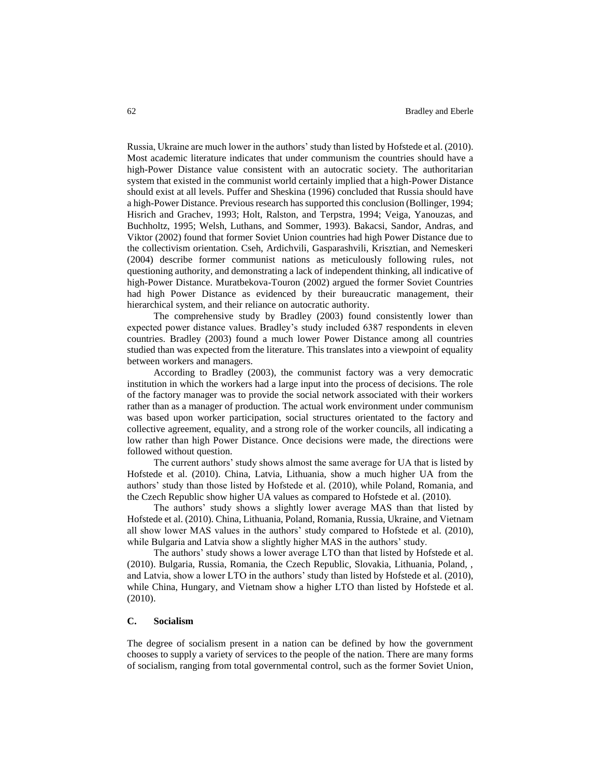Russia, Ukraine are much lower in the authors' study than listed by Hofstede et al. (2010). Most academic literature indicates that under communism the countries should have a high-Power Distance value consistent with an autocratic society. The authoritarian system that existed in the communist world certainly implied that a high-Power Distance should exist at all levels. Puffer and Sheskina (1996) concluded that Russia should have a high-Power Distance. Previous research has supported this conclusion (Bollinger, 1994; Hisrich and Grachev, 1993; Holt, Ralston, and Terpstra, 1994; Veiga, Yanouzas, and Buchholtz, 1995; Welsh, Luthans, and Sommer, 1993). Bakacsi, Sandor, Andras, and Viktor (2002) found that former Soviet Union countries had high Power Distance due to the collectivism orientation. Cseh, Ardichvili, Gasparashvili, Krisztian, and Nemeskeri (2004) describe former communist nations as meticulously following rules, not questioning authority, and demonstrating a lack of independent thinking, all indicative of high-Power Distance. Muratbekova-Touron (2002) argued the former Soviet Countries had high Power Distance as evidenced by their bureaucratic management, their hierarchical system, and their reliance on autocratic authority.

The comprehensive study by Bradley (2003) found consistently lower than expected power distance values. Bradley's study included 6387 respondents in eleven countries. Bradley (2003) found a much lower Power Distance among all countries studied than was expected from the literature. This translates into a viewpoint of equality between workers and managers.

According to Bradley (2003), the communist factory was a very democratic institution in which the workers had a large input into the process of decisions. The role of the factory manager was to provide the social network associated with their workers rather than as a manager of production. The actual work environment under communism was based upon worker participation, social structures orientated to the factory and collective agreement, equality, and a strong role of the worker councils, all indicating a low rather than high Power Distance. Once decisions were made, the directions were followed without question.

The current authors' study shows almost the same average for UA that is listed by Hofstede et al. (2010). China, Latvia, Lithuania, show a much higher UA from the authors' study than those listed by Hofstede et al. (2010), while Poland, Romania, and the Czech Republic show higher UA values as compared to Hofstede et al. (2010).

The authors' study shows a slightly lower average MAS than that listed by Hofstede et al. (2010). China, Lithuania, Poland, Romania, Russia, Ukraine, and Vietnam all show lower MAS values in the authors' study compared to Hofstede et al. (2010), while Bulgaria and Latvia show a slightly higher MAS in the authors' study.

The authors' study shows a lower average LTO than that listed by Hofstede et al. (2010). Bulgaria, Russia, Romania, the Czech Republic, Slovakia, Lithuania, Poland, , and Latvia, show a lower LTO in the authors' study than listed by Hofstede et al. (2010), while China, Hungary, and Vietnam show a higher LTO than listed by Hofstede et al. (2010).

# **C. Socialism**

The degree of socialism present in a nation can be defined by how the government chooses to supply a variety of services to the people of the nation. There are many forms of socialism, ranging from total governmental control, such as the former Soviet Union,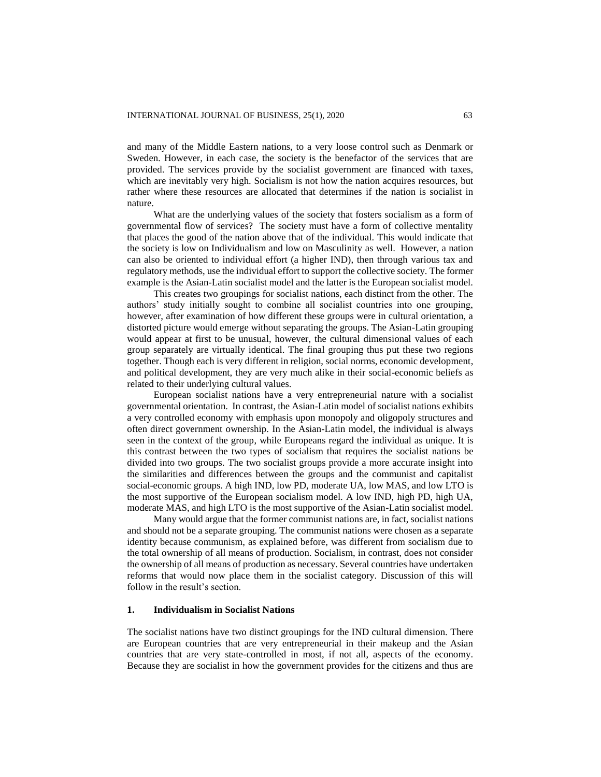and many of the Middle Eastern nations, to a very loose control such as Denmark or Sweden. However, in each case, the society is the benefactor of the services that are provided. The services provide by the socialist government are financed with taxes, which are inevitably very high. Socialism is not how the nation acquires resources, but rather where these resources are allocated that determines if the nation is socialist in nature.

What are the underlying values of the society that fosters socialism as a form of governmental flow of services? The society must have a form of collective mentality that places the good of the nation above that of the individual. This would indicate that the society is low on Individualism and low on Masculinity as well. However, a nation can also be oriented to individual effort (a higher IND), then through various tax and regulatory methods, use the individual effort to support the collective society. The former example is the Asian-Latin socialist model and the latter is the European socialist model.

This creates two groupings for socialist nations, each distinct from the other. The authors' study initially sought to combine all socialist countries into one grouping, however, after examination of how different these groups were in cultural orientation, a distorted picture would emerge without separating the groups. The Asian-Latin grouping would appear at first to be unusual, however, the cultural dimensional values of each group separately are virtually identical. The final grouping thus put these two regions together. Though each is very different in religion, social norms, economic development, and political development, they are very much alike in their social-economic beliefs as related to their underlying cultural values.

European socialist nations have a very entrepreneurial nature with a socialist governmental orientation. In contrast, the Asian-Latin model of socialist nations exhibits a very controlled economy with emphasis upon monopoly and oligopoly structures and often direct government ownership. In the Asian-Latin model, the individual is always seen in the context of the group, while Europeans regard the individual as unique. It is this contrast between the two types of socialism that requires the socialist nations be divided into two groups. The two socialist groups provide a more accurate insight into the similarities and differences between the groups and the communist and capitalist social-economic groups. A high IND, low PD, moderate UA, low MAS, and low LTO is the most supportive of the European socialism model. A low IND, high PD, high UA, moderate MAS, and high LTO is the most supportive of the Asian-Latin socialist model.

Many would argue that the former communist nations are, in fact, socialist nations and should not be a separate grouping. The communist nations were chosen as a separate identity because communism, as explained before, was different from socialism due to the total ownership of all means of production. Socialism, in contrast, does not consider the ownership of all means of production as necessary. Several countries have undertaken reforms that would now place them in the socialist category. Discussion of this will follow in the result's section.

# **1. Individualism in Socialist Nations**

The socialist nations have two distinct groupings for the IND cultural dimension. There are European countries that are very entrepreneurial in their makeup and the Asian countries that are very state-controlled in most, if not all, aspects of the economy. Because they are socialist in how the government provides for the citizens and thus are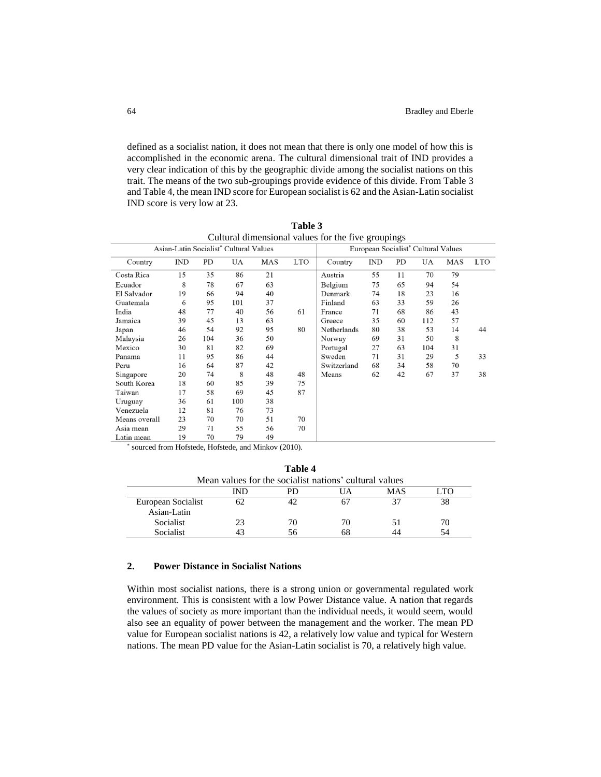defined as a socialist nation, it does not mean that there is only one model of how this is accomplished in the economic arena. The cultural dimensional trait of IND provides a very clear indication of this by the geographic divide among the socialist nations on this trait. The means of the two sub-groupings provide evidence of this divide. From Table 3 and Table 4, the mean IND score for European socialist is 62 and the Asian-Latin socialist IND score is very low at 23.

| Cultural dimensional values for the live groupings |                                                 |     |           |     |            |             |            |    |     |     |            |
|----------------------------------------------------|-------------------------------------------------|-----|-----------|-----|------------|-------------|------------|----|-----|-----|------------|
| Asian-Latin Socialist* Cultural Values             | European Socialist <sup>*</sup> Cultural Values |     |           |     |            |             |            |    |     |     |            |
| Country                                            | IND                                             | PD  | <b>UA</b> | MAS | <b>LTO</b> | Country     | <b>IND</b> | PD | UA  | MAS | <b>LTO</b> |
| Costa Rica                                         | 15                                              | 35  | 86        | 21  |            | Austria     | 55         | 11 | 70  | 79  |            |
| Ecuador                                            | 8                                               | 78  | 67        | 63  |            | Belgium     | 75         | 65 | 94  | 54  |            |
| El Salvador                                        | 19                                              | 66  | 94        | 40  |            | Denmark     | 74         | 18 | 23  | 16  |            |
| Guatemala                                          | 6                                               | 95  | 101       | 37  |            | Finland     | 63         | 33 | 59  | 26  |            |
| India                                              | 48                                              | 77  | 40        | 56  | 61         | France      | 71         | 68 | 86  | 43  |            |
| Jamaica                                            | 39                                              | 45  | 13        | 63  |            | Greece      | 35         | 60 | 112 | 57  |            |
| Japan                                              | 46                                              | 54  | 92        | 95  | 80         | Netherlands | 80         | 38 | 53  | 14  | 44         |
| Malaysia                                           | 26                                              | 104 | 36        | 50  |            | Norway      | 69         | 31 | 50  | 8   |            |
| Mexico                                             | 30                                              | 81  | 82        | 69  |            | Portugal    | 27         | 63 | 104 | 31  |            |
| Panama                                             | 11                                              | 95  | 86        | 44  |            | Sweden      | 71         | 31 | 29  | 5   | 33         |
| Peru                                               | 16                                              | 64  | 87        | 42  |            | Switzerland | 68         | 34 | 58  | 70  |            |
| Singapore                                          | 20                                              | 74  | 8         | 48  | 48         | Means       | 62         | 42 | 67  | 37  | 38         |
| South Korea                                        | 18                                              | 60  | 85        | 39  | 75         |             |            |    |     |     |            |
| Taiwan                                             | 17                                              | 58  | 69        | 45  | 87         |             |            |    |     |     |            |
| Uruguay                                            | 36                                              | 61  | 100       | 38  |            |             |            |    |     |     |            |
| Venezuela                                          | 12                                              | 81  | 76        | 73  |            |             |            |    |     |     |            |
| Means overall                                      | 23                                              | 70  | 70        | 51  | 70         |             |            |    |     |     |            |
| Asia mean                                          | 29                                              | 71  | 55        | 56  | 70         |             |            |    |     |     |            |
| Latin mean                                         | 19                                              | 70  | 79        | 49  |            |             |            |    |     |     |            |

**Table 3** Cultural dimensional values for the five groupings

\* sourced from Hofstede, Hofstede, and Minkov (2010).

| Mean values for the socialist nations' cultural values |     |    |    |     |      |  |  |  |  |
|--------------------------------------------------------|-----|----|----|-----|------|--|--|--|--|
|                                                        | IND | PD | UA | MAS | LTO. |  |  |  |  |
| European Socialist<br>Asian-Latin                      |     |    |    |     | 38   |  |  |  |  |
| Socialist                                              | 23  | 70 | 70 | ו כ | 70   |  |  |  |  |
| Socialist                                              |     | 56 | 68 | 44  | 54   |  |  |  |  |

**Table 4**

# **2. Power Distance in Socialist Nations**

Within most socialist nations, there is a strong union or governmental regulated work environment. This is consistent with a low Power Distance value. A nation that regards the values of society as more important than the individual needs, it would seem, would also see an equality of power between the management and the worker. The mean PD value for European socialist nations is 42, a relatively low value and typical for Western nations. The mean PD value for the Asian-Latin socialist is 70, a relatively high value.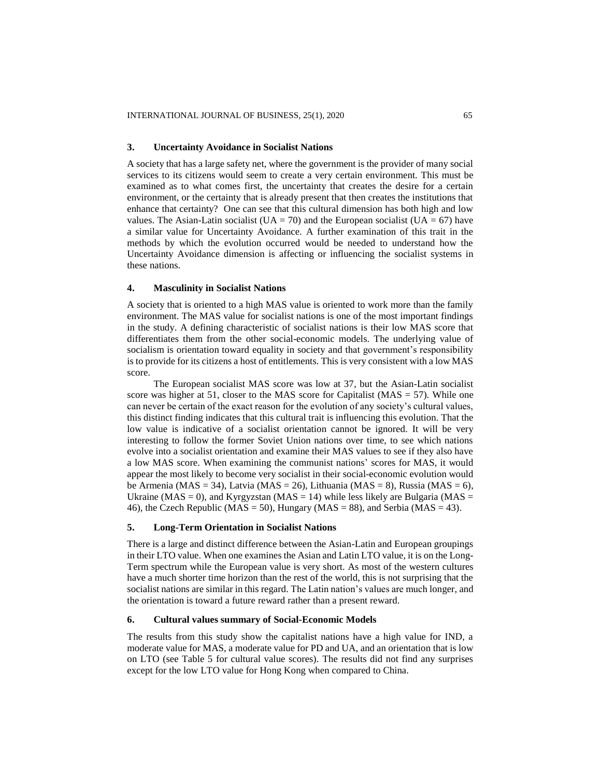#### **3. Uncertainty Avoidance in Socialist Nations**

A society that has a large safety net, where the government is the provider of many social services to its citizens would seem to create a very certain environment. This must be examined as to what comes first, the uncertainty that creates the desire for a certain environment, or the certainty that is already present that then creates the institutions that enhance that certainty? One can see that this cultural dimension has both high and low values. The Asian-Latin socialist ( $UA = 70$ ) and the European socialist ( $UA = 67$ ) have a similar value for Uncertainty Avoidance. A further examination of this trait in the methods by which the evolution occurred would be needed to understand how the Uncertainty Avoidance dimension is affecting or influencing the socialist systems in these nations.

## **4. Masculinity in Socialist Nations**

A society that is oriented to a high MAS value is oriented to work more than the family environment. The MAS value for socialist nations is one of the most important findings in the study. A defining characteristic of socialist nations is their low MAS score that differentiates them from the other social-economic models. The underlying value of socialism is orientation toward equality in society and that government's responsibility is to provide for its citizens a host of entitlements. This is very consistent with a low MAS score.

The European socialist MAS score was low at 37, but the Asian-Latin socialist score was higher at 51, closer to the MAS score for Capitalist ( $MAS = 57$ ). While one can never be certain of the exact reason for the evolution of any society's cultural values, this distinct finding indicates that this cultural trait is influencing this evolution. That the low value is indicative of a socialist orientation cannot be ignored. It will be very interesting to follow the former Soviet Union nations over time, to see which nations evolve into a socialist orientation and examine their MAS values to see if they also have a low MAS score. When examining the communist nations' scores for MAS, it would appear the most likely to become very socialist in their social-economic evolution would be Armenia (MAS = 34), Latvia (MAS = 26), Lithuania (MAS = 8), Russia (MAS = 6), Ukraine (MAS = 0), and Kyrgyzstan (MAS = 14) while less likely are Bulgaria (MAS = 46), the Czech Republic ( $MAS = 50$ ), Hungary ( $MAS = 88$ ), and Serbia ( $MAS = 43$ ).

## **5. Long-Term Orientation in Socialist Nations**

There is a large and distinct difference between the Asian-Latin and European groupings in their LTO value. When one examines the Asian and Latin LTO value, it is on the Long-Term spectrum while the European value is very short. As most of the western cultures have a much shorter time horizon than the rest of the world, this is not surprising that the socialist nations are similar in this regard. The Latin nation's values are much longer, and the orientation is toward a future reward rather than a present reward.

## **6. Cultural values summary of Social-Economic Models**

The results from this study show the capitalist nations have a high value for IND, a moderate value for MAS, a moderate value for PD and UA, and an orientation that is low on LTO (see Table 5 for cultural value scores). The results did not find any surprises except for the low LTO value for Hong Kong when compared to China.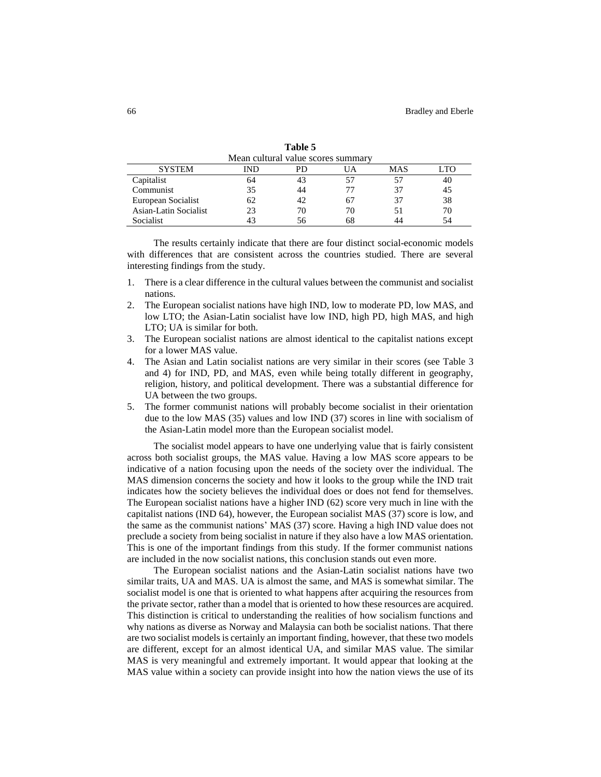| Mean cultural value scores summary |     |    |     |            |     |  |  |  |  |
|------------------------------------|-----|----|-----|------------|-----|--|--|--|--|
| <b>SYSTEM</b>                      | IND | PD | JA  | <b>MAS</b> | TO. |  |  |  |  |
| Capitalist                         | 64  | 43 | -57 |            | 40  |  |  |  |  |
| Communist                          | 35  | 44 |     |            | 45  |  |  |  |  |
| European Socialist                 | 62  | 42 | 67  | 37         | 38  |  |  |  |  |
| Asian-Latin Socialist              | 23  | 70 | 70  |            | 70  |  |  |  |  |
| Socialist                          |     | 56 | 68  |            | 54  |  |  |  |  |

**Table 5**

The results certainly indicate that there are four distinct social-economic models with differences that are consistent across the countries studied. There are several interesting findings from the study.

- 1. There is a clear difference in the cultural values between the communist and socialist nations.
- 2. The European socialist nations have high IND, low to moderate PD, low MAS, and low LTO; the Asian-Latin socialist have low IND, high PD, high MAS, and high LTO; UA is similar for both.
- 3. The European socialist nations are almost identical to the capitalist nations except for a lower MAS value.
- 4. The Asian and Latin socialist nations are very similar in their scores (see Table 3 and 4) for IND, PD, and MAS, even while being totally different in geography, religion, history, and political development. There was a substantial difference for UA between the two groups.
- 5. The former communist nations will probably become socialist in their orientation due to the low MAS (35) values and low IND (37) scores in line with socialism of the Asian-Latin model more than the European socialist model.

The socialist model appears to have one underlying value that is fairly consistent across both socialist groups, the MAS value. Having a low MAS score appears to be indicative of a nation focusing upon the needs of the society over the individual. The MAS dimension concerns the society and how it looks to the group while the IND trait indicates how the society believes the individual does or does not fend for themselves. The European socialist nations have a higher IND (62) score very much in line with the capitalist nations (IND 64), however, the European socialist MAS (37) score is low, and the same as the communist nations' MAS (37) score. Having a high IND value does not preclude a society from being socialist in nature if they also have a low MAS orientation. This is one of the important findings from this study. If the former communist nations are included in the now socialist nations, this conclusion stands out even more.

The European socialist nations and the Asian-Latin socialist nations have two similar traits, UA and MAS. UA is almost the same, and MAS is somewhat similar. The socialist model is one that is oriented to what happens after acquiring the resources from the private sector, rather than a model that is oriented to how these resources are acquired. This distinction is critical to understanding the realities of how socialism functions and why nations as diverse as Norway and Malaysia can both be socialist nations. That there are two socialist models is certainly an important finding, however, that these two models are different, except for an almost identical UA, and similar MAS value. The similar MAS is very meaningful and extremely important. It would appear that looking at the MAS value within a society can provide insight into how the nation views the use of its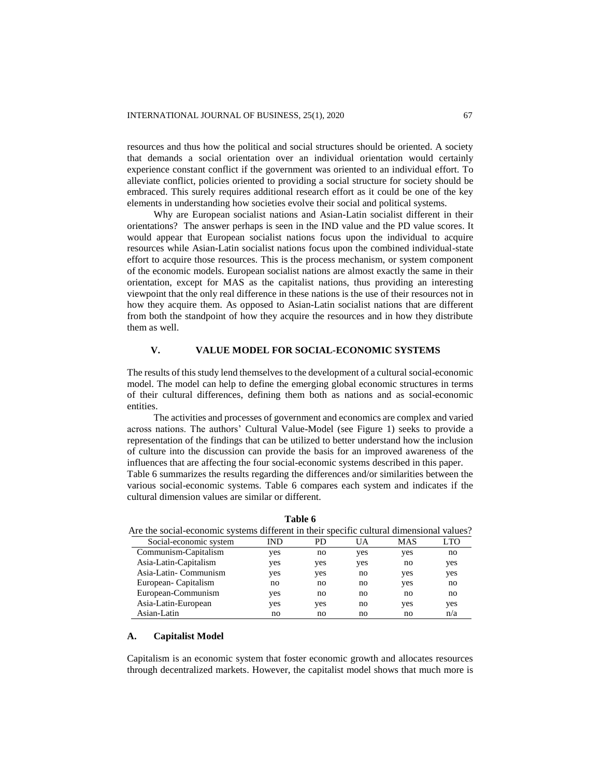resources and thus how the political and social structures should be oriented. A society that demands a social orientation over an individual orientation would certainly experience constant conflict if the government was oriented to an individual effort. To alleviate conflict, policies oriented to providing a social structure for society should be embraced. This surely requires additional research effort as it could be one of the key elements in understanding how societies evolve their social and political systems.

Why are European socialist nations and Asian-Latin socialist different in their orientations? The answer perhaps is seen in the IND value and the PD value scores. It would appear that European socialist nations focus upon the individual to acquire resources while Asian-Latin socialist nations focus upon the combined individual-state effort to acquire those resources. This is the process mechanism, or system component of the economic models. European socialist nations are almost exactly the same in their orientation, except for MAS as the capitalist nations, thus providing an interesting viewpoint that the only real difference in these nations is the use of their resources not in how they acquire them. As opposed to Asian-Latin socialist nations that are different from both the standpoint of how they acquire the resources and in how they distribute them as well.

# **V. VALUE MODEL FOR SOCIAL-ECONOMIC SYSTEMS**

The results of this study lend themselves to the development of a cultural social-economic model. The model can help to define the emerging global economic structures in terms of their cultural differences, defining them both as nations and as social-economic entities.

The activities and processes of government and economics are complex and varied across nations. The authors' Cultural Value-Model (see Figure 1) seeks to provide a representation of the findings that can be utilized to better understand how the inclusion of culture into the discussion can provide the basis for an improved awareness of the influences that are affecting the four social-economic systems described in this paper.

Table 6 summarizes the results regarding the differences and/or similarities between the various social-economic systems. Table 6 compares each system and indicates if the cultural dimension values are similar or different.

| Are the social-economic systems different in their specific cultural dimensional values? |     |     |     |     |            |
|------------------------------------------------------------------------------------------|-----|-----|-----|-----|------------|
| Social-economic system                                                                   | IND | PD. | UA  | MAS | <b>LTO</b> |
| Communism-Capitalism                                                                     | yes | no  | yes | yes | no         |
| Asia-Latin-Capitalism                                                                    | yes | yes | yes | no  | yes        |
| Asia-Latin- Communism                                                                    | yes | yes | no  | yes | yes        |
| European-Capitalism                                                                      | no  | no  | no  | yes | no         |
| European-Communism                                                                       | yes | no  | no  | no  | no         |
| Asia-Latin-European                                                                      | yes | yes | no  | yes | yes        |
| Asian-Latin                                                                              | no  | no  | no  | no  | n/a        |

**Table 6**

# **A. Capitalist Model**

Capitalism is an economic system that foster economic growth and allocates resources through decentralized markets. However, the capitalist model shows that much more is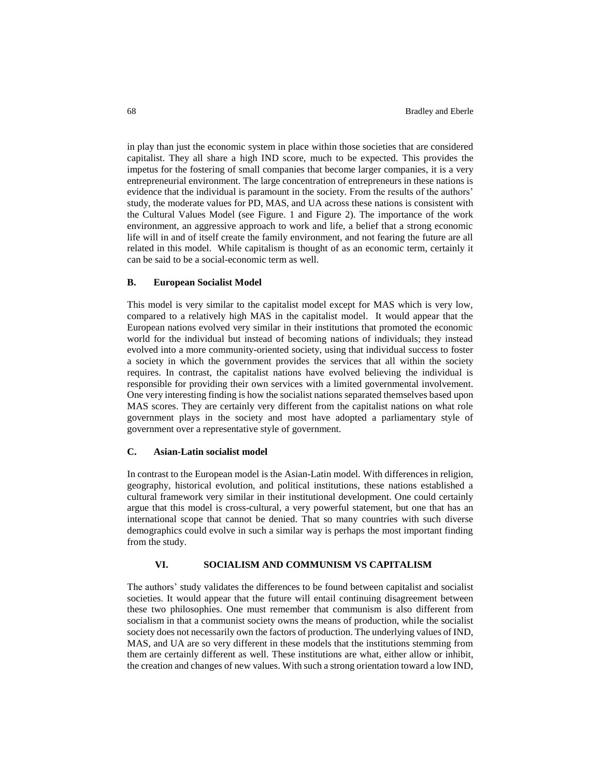in play than just the economic system in place within those societies that are considered capitalist. They all share a high IND score, much to be expected. This provides the impetus for the fostering of small companies that become larger companies, it is a very entrepreneurial environment. The large concentration of entrepreneurs in these nations is evidence that the individual is paramount in the society. From the results of the authors' study, the moderate values for PD, MAS, and UA across these nations is consistent with the Cultural Values Model (see Figure. 1 and Figure 2). The importance of the work environment, an aggressive approach to work and life, a belief that a strong economic life will in and of itself create the family environment, and not fearing the future are all related in this model. While capitalism is thought of as an economic term, certainly it can be said to be a social-economic term as well.

## **B. European Socialist Model**

This model is very similar to the capitalist model except for MAS which is very low, compared to a relatively high MAS in the capitalist model. It would appear that the European nations evolved very similar in their institutions that promoted the economic world for the individual but instead of becoming nations of individuals; they instead evolved into a more community-oriented society, using that individual success to foster a society in which the government provides the services that all within the society requires. In contrast, the capitalist nations have evolved believing the individual is responsible for providing their own services with a limited governmental involvement. One very interesting finding is how the socialist nations separated themselves based upon MAS scores. They are certainly very different from the capitalist nations on what role government plays in the society and most have adopted a parliamentary style of government over a representative style of government.

## **C. Asian-Latin socialist model**

In contrast to the European model is the Asian-Latin model. With differences in religion, geography, historical evolution, and political institutions, these nations established a cultural framework very similar in their institutional development. One could certainly argue that this model is cross-cultural, a very powerful statement, but one that has an international scope that cannot be denied. That so many countries with such diverse demographics could evolve in such a similar way is perhaps the most important finding from the study.

## **VI. SOCIALISM AND COMMUNISM VS CAPITALISM**

The authors' study validates the differences to be found between capitalist and socialist societies. It would appear that the future will entail continuing disagreement between these two philosophies. One must remember that communism is also different from socialism in that a communist society owns the means of production, while the socialist society does not necessarily own the factors of production. The underlying values of IND, MAS, and UA are so very different in these models that the institutions stemming from them are certainly different as well. These institutions are what, either allow or inhibit, the creation and changes of new values. With such a strong orientation toward a low IND,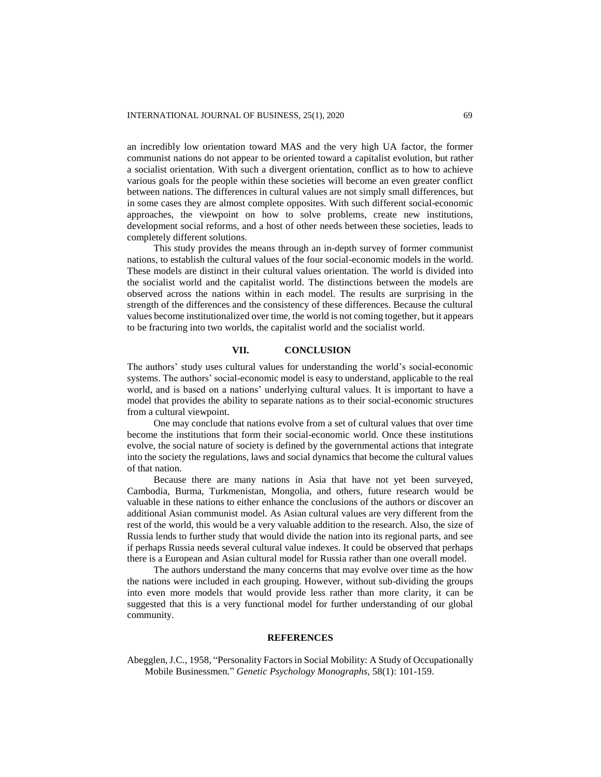an incredibly low orientation toward MAS and the very high UA factor, the former communist nations do not appear to be oriented toward a capitalist evolution, but rather a socialist orientation. With such a divergent orientation, conflict as to how to achieve various goals for the people within these societies will become an even greater conflict between nations. The differences in cultural values are not simply small differences, but in some cases they are almost complete opposites. With such different social-economic approaches, the viewpoint on how to solve problems, create new institutions, development social reforms, and a host of other needs between these societies, leads to completely different solutions.

This study provides the means through an in-depth survey of former communist nations, to establish the cultural values of the four social-economic models in the world. These models are distinct in their cultural values orientation. The world is divided into the socialist world and the capitalist world. The distinctions between the models are observed across the nations within in each model. The results are surprising in the strength of the differences and the consistency of these differences. Because the cultural values become institutionalized over time, the world is not coming together, but it appears to be fracturing into two worlds, the capitalist world and the socialist world.

# **VII. CONCLUSION**

The authors' study uses cultural values for understanding the world's social-economic systems. The authors' social-economic model is easy to understand, applicable to the real world, and is based on a nations' underlying cultural values. It is important to have a model that provides the ability to separate nations as to their social-economic structures from a cultural viewpoint.

One may conclude that nations evolve from a set of cultural values that over time become the institutions that form their social-economic world. Once these institutions evolve, the social nature of society is defined by the governmental actions that integrate into the society the regulations, laws and social dynamics that become the cultural values of that nation.

Because there are many nations in Asia that have not yet been surveyed, Cambodia, Burma, Turkmenistan, Mongolia, and others, future research would be valuable in these nations to either enhance the conclusions of the authors or discover an additional Asian communist model. As Asian cultural values are very different from the rest of the world, this would be a very valuable addition to the research. Also, the size of Russia lends to further study that would divide the nation into its regional parts, and see if perhaps Russia needs several cultural value indexes. It could be observed that perhaps there is a European and Asian cultural model for Russia rather than one overall model.

The authors understand the many concerns that may evolve over time as the how the nations were included in each grouping. However, without sub-dividing the groups into even more models that would provide less rather than more clarity, it can be suggested that this is a very functional model for further understanding of our global community.

## **REFERENCES**

Abegglen, J.C., 1958, "Personality Factors in Social Mobility: A Study of Occupationally Mobile Businessmen." *Genetic Psychology Monographs*, 58(1): 101-159.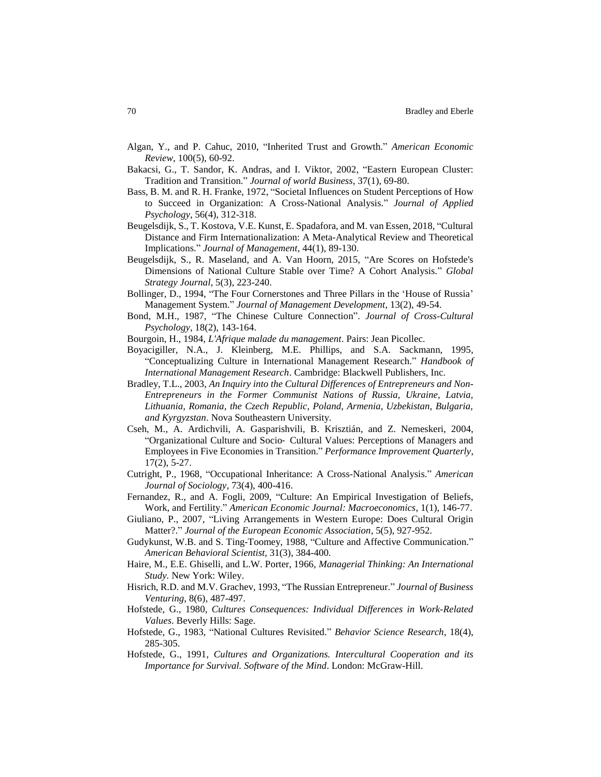- Algan, Y., and P. Cahuc, 2010, "Inherited Trust and Growth." *American Economic Review*, 100(5), 60-92.
- Bakacsi, G., T. Sandor, K. Andras, and I. Viktor, 2002, "Eastern European Cluster: Tradition and Transition." *Journal of world Business*, 37(1), 69-80.
- Bass, B. M. and R. H. Franke, 1972, "Societal Influences on Student Perceptions of How to Succeed in Organization: A Cross-National Analysis." *Journal of Applied Psychology*, 56(4), 312-318.
- Beugelsdijk, S., T. Kostova, V.E. Kunst, E. Spadafora, and M. van Essen, 2018, "Cultural Distance and Firm Internationalization: A Meta-Analytical Review and Theoretical Implications." *Journal of Management*, 44(1), 89-130.
- Beugelsdijk, S., R. Maseland, and A. Van Hoorn, 2015, "Are Scores on Hofstede's Dimensions of National Culture Stable over Time? A Cohort Analysis." *Global Strategy Journal*, 5(3), 223-240.
- Bollinger, D., 1994, "The Four Cornerstones and Three Pillars in the 'House of Russia' Management System." *Journal of Management Development*, 13(2), 49-54.
- Bond, M.H., 1987, "The Chinese Culture Connection". *Journal of Cross-Cultural Psychology*, 18(2), 143-164.
- Bourgoin, H., 1984, *L'Afrique malade du management*. Pairs: Jean Picollec.
- Boyacigiller, N.A., J. Kleinberg, M.E. Phillips, and S.A. Sackmann, 1995, "Conceptualizing Culture in International Management Research." *Handbook of International Management Research*. Cambridge: Blackwell Publishers, Inc.
- Bradley, T.L., 2003, *An Inquiry into the Cultural Differences of Entrepreneurs and Non-Entrepreneurs in the Former Communist Nations of Russia, Ukraine, Latvia, Lithuania, Romania, the Czech Republic, Poland, Armenia, Uzbekistan, Bulgaria, and Kyrgyzstan*. Nova Southeastern University.
- Cseh, M., A. Ardichvili, A. Gasparishvili, B. Krisztián, and Z. Nemeskeri, 2004, "Organizational Culture and Socio‐ Cultural Values: Perceptions of Managers and Employees in Five Economies in Transition." *Performance Improvement Quarterly*, 17(2), 5-27.
- Cutright, P., 1968, "Occupational Inheritance: A Cross-National Analysis." *American Journal of Sociology*, 73(4), 400-416.
- Fernandez, R., and A. Fogli, 2009, "Culture: An Empirical Investigation of Beliefs, Work, and Fertility." *American Economic Journal: Macroeconomics*, 1(1), 146-77.
- Giuliano, P., 2007, "Living Arrangements in Western Europe: Does Cultural Origin Matter?." *Journal of the European Economic Association*, 5(5), 927-952.
- Gudykunst, W.B. and S. Ting-Toomey, 1988, "Culture and Affective Communication." *American Behavioral Scientist*, 31(3), 384-400.
- Haire, M., E.E. Ghiselli, and L.W. Porter, 1966, *Managerial Thinking: An International Study.* New York: Wiley.
- Hisrich, R.D. and M.V. Grachev, 1993, "The Russian Entrepreneur." *Journal of Business Venturing*, 8(6), 487-497.
- Hofstede, G., 1980, *Cultures Consequences: Individual Differences in Work-Related Values*. Beverly Hills: Sage.
- Hofstede, G., 1983, "National Cultures Revisited." *Behavior Science Research*, 18(4), 285-305.
- Hofstede, G., 1991, *Cultures and Organizations. Intercultural Cooperation and its Importance for Survival. Software of the Mind*. London: McGraw-Hill.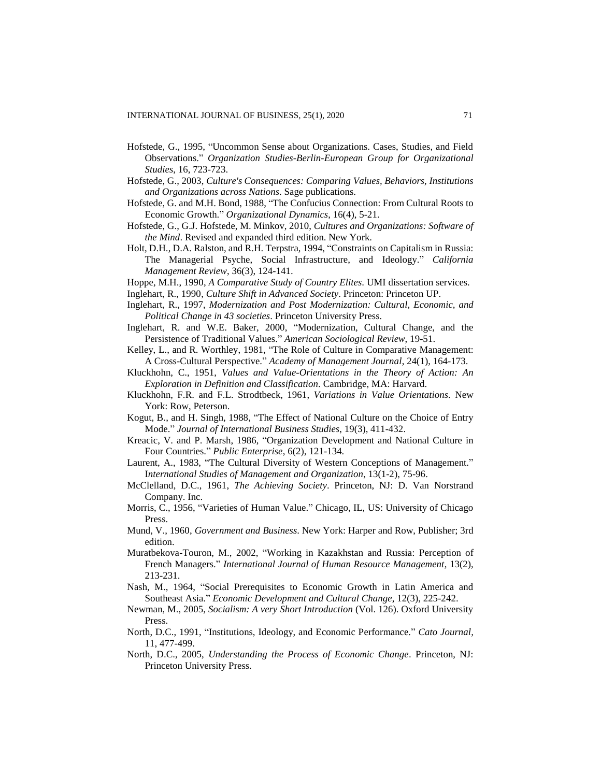- Hofstede, G., 1995, "Uncommon Sense about Organizations. Cases, Studies, and Field Observations." *Organization Studies-Berlin-European Group for Organizational Studies*, 16, 723-723.
- Hofstede, G., 2003, *Culture's Consequences: Comparing Values, Behaviors, Institutions and Organizations across Nations*. Sage publications.
- Hofstede, G. and M.H. Bond, 1988, "The Confucius Connection: From Cultural Roots to Economic Growth." *Organizational Dynamics*, 16(4), 5-21.
- Hofstede, G., G.J. Hofstede, M. Minkov, 2010, *Cultures and Organizations: Software of the Mind*. Revised and expanded third edition. New York.
- Holt, D.H., D.A. Ralston, and R.H. Terpstra, 1994, "Constraints on Capitalism in Russia: The Managerial Psyche, Social Infrastructure, and Ideology." *California Management Review*, 36(3), 124-141.

Hoppe, M.H., 1990, *A Comparative Study of Country Elites*. UMI dissertation services.

- Inglehart, R., 1990, *Culture Shift in Advanced Society*. Princeton: Princeton UP.
- Inglehart, R., 1997, *Modernization and Post Modernization: Cultural, Economic, and Political Change in 43 societies*. Princeton University Press.
- Inglehart, R. and W.E. Baker, 2000, "Modernization, Cultural Change, and the Persistence of Traditional Values." *American Sociological Review*, 19-51.
- Kelley, L., and R. Worthley, 1981, "The Role of Culture in Comparative Management: A Cross-Cultural Perspective." *Academy of Management Journal*, 24(1), 164-173.
- Kluckhohn, C., 1951, *Values and Value-Orientations in the Theory of Action: An Exploration in Definition and Classification*. Cambridge, MA: Harvard.
- Kluckhohn, F.R. and F.L. Strodtbeck, 1961, *Variations in Value Orientations*. New York: Row, Peterson.
- Kogut, B., and H. Singh, 1988, "The Effect of National Culture on the Choice of Entry Mode." *Journal of International Business Studies*, 19(3), 411-432.
- Kreacic, V. and P. Marsh, 1986, "Organization Development and National Culture in Four Countries." *Public Enterprise*, 6(2), 121-134.
- Laurent, A., 1983, "The Cultural Diversity of Western Conceptions of Management." I*nternational Studies of Management and Organization*, 13(1-2), 75-96.
- McClelland, D.C., 1961, *The Achieving Society*. Princeton, NJ: D. Van Norstrand Company. Inc.
- Morris, C., 1956, "Varieties of Human Value." Chicago, IL, US: University of Chicago Press.
- Mund, V., 1960, *Government and Business*. New York: Harper and Row, Publisher; 3rd edition.
- Muratbekova-Touron, M., 2002, "Working in Kazakhstan and Russia: Perception of French Managers." *International Journal of Human Resource Management*, 13(2), 213-231.
- Nash, M., 1964, "Social Prerequisites to Economic Growth in Latin America and Southeast Asia." *Economic Development and Cultural Change*, 12(3), 225-242.
- Newman, M., 2005, *Socialism: A very Short Introduction* (Vol. 126). Oxford University Press.
- North, D.C., 1991, "Institutions, Ideology, and Economic Performance." *Cato Journal,* 11, 477-499.
- North, D.C., 2005, *Understanding the Process of Economic Change*. Princeton, NJ: Princeton University Press.